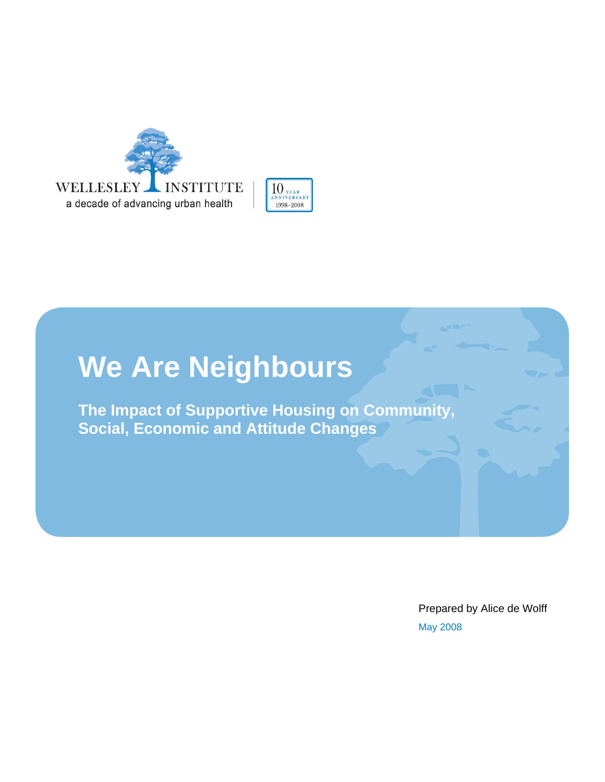



# **We Are Neighbours**

**The Impact of Supportive Housing on Community, Social, Economic and Attitude Changes** 

> May 2008 Prepared by Alice de Wolff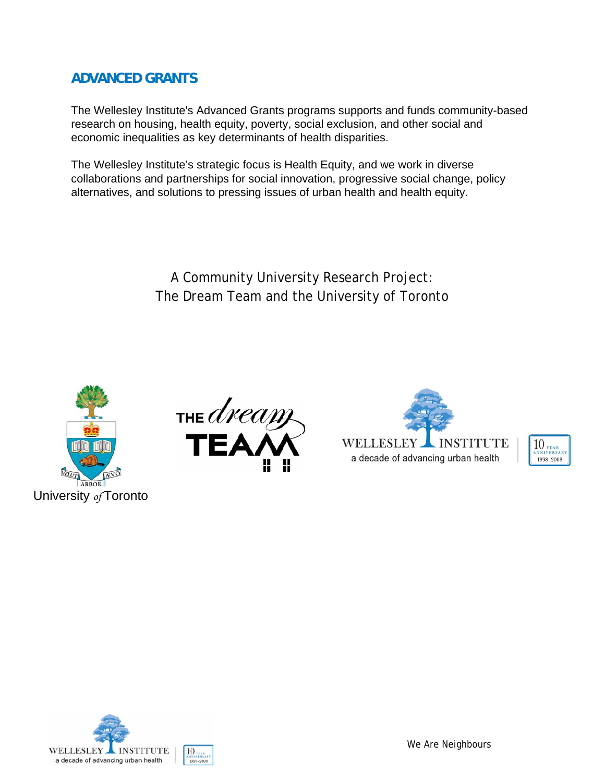### **ADVANCED GRANTS**

The Wellesley Institute's Advanced Grants programs supports and funds community-based research on housing, health equity, poverty, social exclusion, and other social and economic inequalities as key determinants of health disparities.

The Wellesley Institute's strategic focus is Health Equity, and we work in diverse collaborations and partnerships for social innovation, progressive social change, policy alternatives, and solutions to pressing issues of urban health and health equity.

> A Community University Research Project: The Dream Team and the University of Toronto









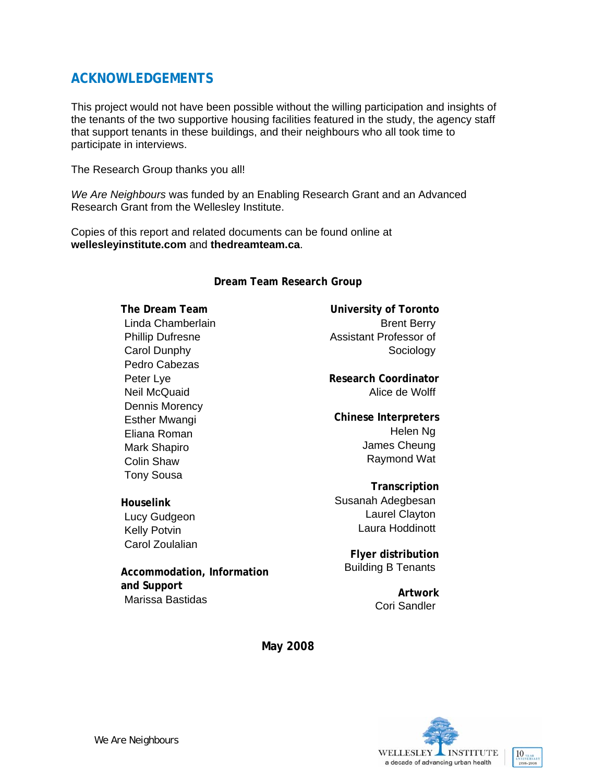### **ACKNOWLEDGEMENTS**

This project would not have been possible without the willing participation and insights of the tenants of the two supportive housing facilities featured in the study, the agency staff that support tenants in these buildings, and their neighbours who all took time to participate in interviews.

The Research Group thanks you all!

*We Are Neighbours* was funded by an Enabling Research Grant and an Advanced Research Grant from the Wellesley Institute.

Copies of this report and related documents can be found online at **wellesleyinstitute.com** and **thedreamteam.ca**.

#### **Dream Team Research Group**

**The Dream Team**  Linda Chamberlain Phillip Dufresne Carol Dunphy Pedro Cabezas Peter Lye Neil McQuaid Dennis Morency Esther Mwangi Eliana Roman Mark Shapiro Colin Shaw Tony Sousa

**Houselink**  Lucy Gudgeon Kelly Potvin Carol Zoulalian

**Accommodation, Information and Support** Marissa Bastidas

**University of Toronto**  Brent Berry Assistant Professor of Sociology

**Research Coordinator**  Alice de Wolff

**Chinese Interpreters**  Helen Ng James Cheung Raymond Wat

**Transcription**  Susanah Adegbesan Laurel Clayton Laura Hoddinott

**Flyer distribution** Building B Tenants

> **Artwork** Cori Sandler

**May 2008** 

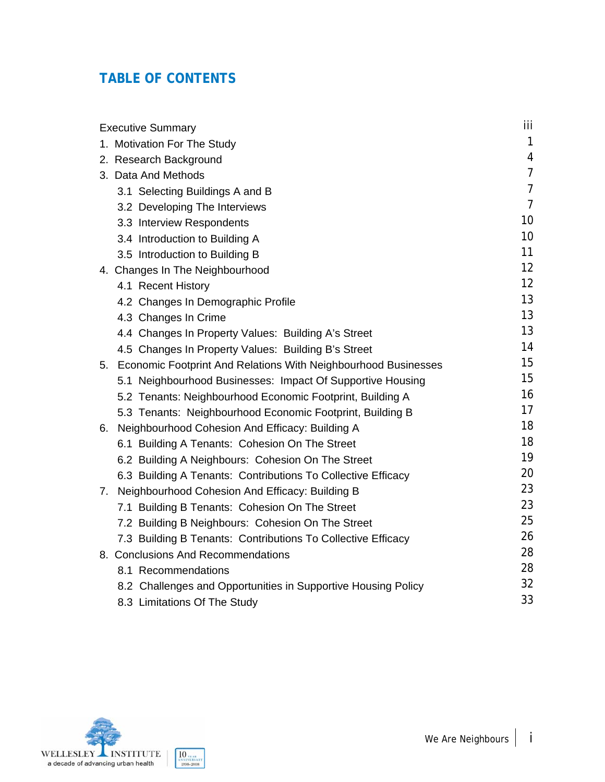### **TABLE OF CONTENTS**

| <b>Executive Summary</b>                                             | iii.           |
|----------------------------------------------------------------------|----------------|
| 1. Motivation For The Study                                          | $\mathbf{1}$   |
| 2. Research Background                                               | 4              |
| 3. Data And Methods                                                  | $\overline{7}$ |
| 3.1 Selecting Buildings A and B                                      | $\overline{7}$ |
| 3.2 Developing The Interviews                                        | $\overline{7}$ |
| 3.3 Interview Respondents                                            | 10             |
| 3.4 Introduction to Building A                                       | 10             |
| 3.5 Introduction to Building B                                       | 11             |
| 4. Changes In The Neighbourhood                                      | 12             |
| 4.1 Recent History                                                   | 12             |
| 4.2 Changes In Demographic Profile                                   | 13             |
| 4.3 Changes In Crime                                                 | 13             |
| 4.4 Changes In Property Values: Building A's Street                  | 13             |
| 4.5 Changes In Property Values: Building B's Street                  | 14             |
| Economic Footprint And Relations With Neighbourhood Businesses<br>5. | 15             |
| 5.1 Neighbourhood Businesses: Impact Of Supportive Housing           | 15             |
| 5.2 Tenants: Neighbourhood Economic Footprint, Building A            | 16             |
| 5.3 Tenants: Neighbourhood Economic Footprint, Building B            | 17             |
| 6. Neighbourhood Cohesion And Efficacy: Building A                   | 18             |
| 6.1 Building A Tenants: Cohesion On The Street                       | 18             |
| 6.2 Building A Neighbours: Cohesion On The Street                    | 19             |
| 6.3 Building A Tenants: Contributions To Collective Efficacy         | 20             |
| Neighbourhood Cohesion And Efficacy: Building B<br>7.                | 23             |
| 7.1 Building B Tenants: Cohesion On The Street                       | 23             |
| 7.2 Building B Neighbours: Cohesion On The Street                    | 25             |
| 7.3 Building B Tenants: Contributions To Collective Efficacy         | 26             |
| 8. Conclusions And Recommendations                                   | 28             |
| 8.1 Recommendations                                                  | 28             |
| 8.2 Challenges and Opportunities in Supportive Housing Policy        | 32             |
| 8.3 Limitations Of The Study                                         | 33             |

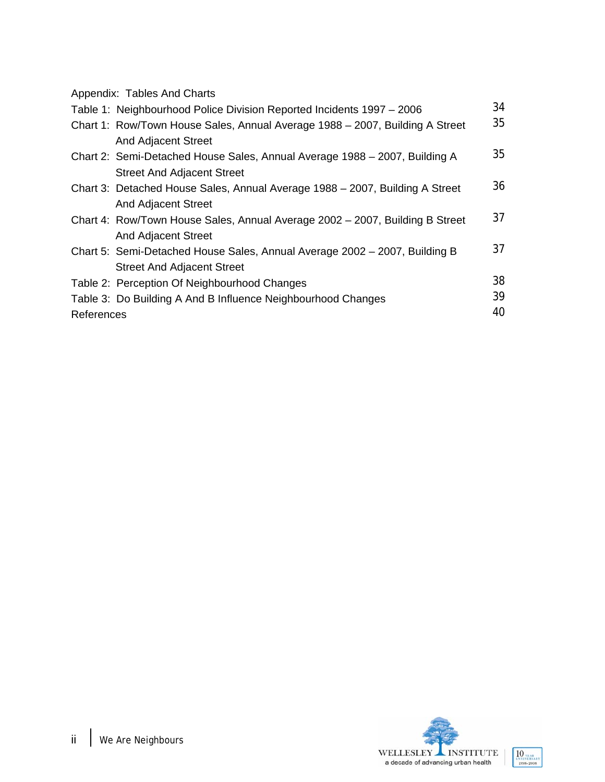| Appendix: Tables And Charts |  |  |  |
|-----------------------------|--|--|--|
|-----------------------------|--|--|--|

|            | Table 1: Neighbourhood Police Division Reported Incidents 1997 - 2006        | 34 |
|------------|------------------------------------------------------------------------------|----|
|            | Chart 1: Row/Town House Sales, Annual Average 1988 - 2007, Building A Street | 35 |
|            | <b>And Adjacent Street</b>                                                   |    |
|            | Chart 2: Semi-Detached House Sales, Annual Average 1988 - 2007, Building A   | 35 |
|            | <b>Street And Adjacent Street</b>                                            |    |
|            | Chart 3: Detached House Sales, Annual Average 1988 – 2007, Building A Street | 36 |
|            | <b>And Adjacent Street</b>                                                   |    |
|            | Chart 4: Row/Town House Sales, Annual Average 2002 - 2007, Building B Street | 37 |
|            | <b>And Adjacent Street</b>                                                   |    |
|            | Chart 5: Semi-Detached House Sales, Annual Average 2002 - 2007, Building B   | 37 |
|            | <b>Street And Adjacent Street</b>                                            |    |
|            | Table 2: Perception Of Neighbourhood Changes                                 | 38 |
|            | Table 3: Do Building A And B Influence Neighbourhood Changes                 | 39 |
| References |                                                                              | 40 |

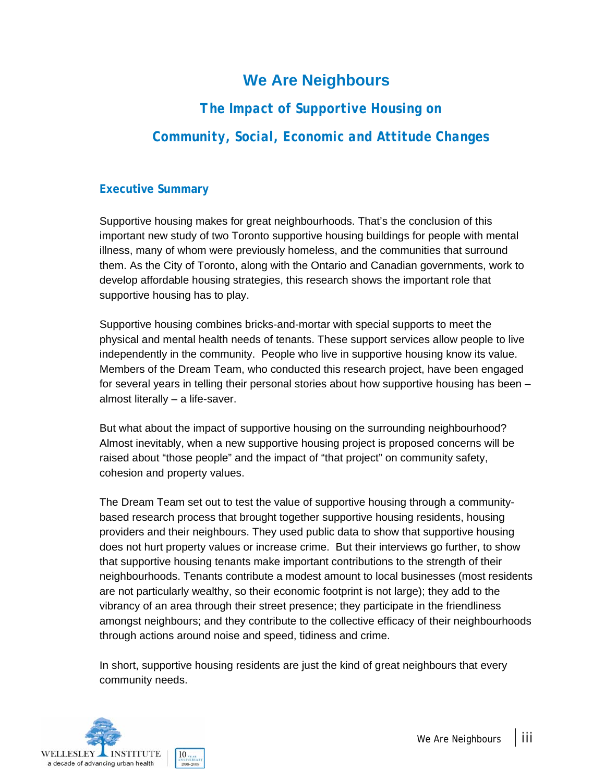# **We Are Neighbours**

# *The Impact of Supportive Housing on Community, Social, Economic and Attitude Changes*

### **Executive Summary**

Supportive housing makes for great neighbourhoods. That's the conclusion of this important new study of two Toronto supportive housing buildings for people with mental illness, many of whom were previously homeless, and the communities that surround them. As the City of Toronto, along with the Ontario and Canadian governments, work to develop affordable housing strategies, this research shows the important role that supportive housing has to play.

Supportive housing combines bricks-and-mortar with special supports to meet the physical and mental health needs of tenants. These support services allow people to live independently in the community. People who live in supportive housing know its value. Members of the Dream Team, who conducted this research project, have been engaged for several years in telling their personal stories about how supportive housing has been – almost literally – a life-saver.

But what about the impact of supportive housing on the surrounding neighbourhood? Almost inevitably, when a new supportive housing project is proposed concerns will be raised about "those people" and the impact of "that project" on community safety, cohesion and property values.

The Dream Team set out to test the value of supportive housing through a communitybased research process that brought together supportive housing residents, housing providers and their neighbours. They used public data to show that supportive housing does not hurt property values or increase crime. But their interviews go further, to show that supportive housing tenants make important contributions to the strength of their neighbourhoods. Tenants contribute a modest amount to local businesses (most residents are not particularly wealthy, so their economic footprint is not large); they add to the vibrancy of an area through their street presence; they participate in the friendliness amongst neighbours; and they contribute to the collective efficacy of their neighbourhoods through actions around noise and speed, tidiness and crime.

In short, supportive housing residents are just the kind of great neighbours that every community needs.

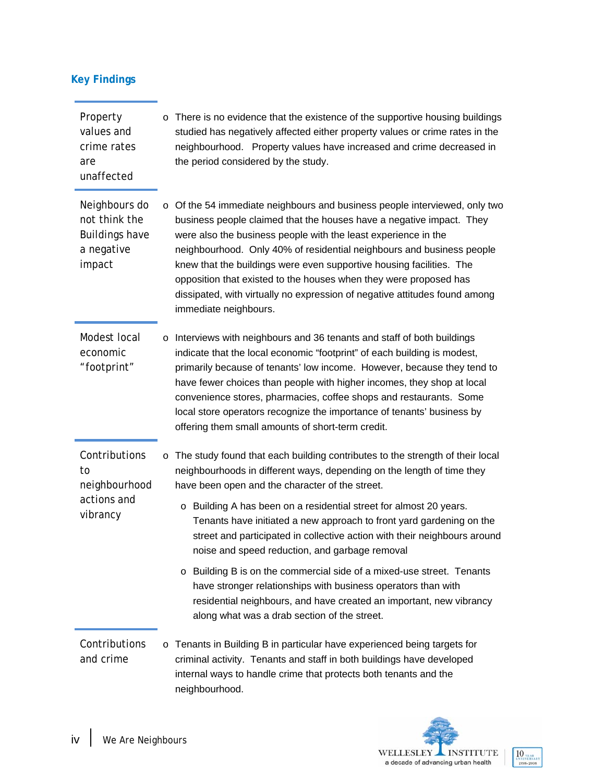| <b>Key Findings</b> |  |  |
|---------------------|--|--|
|                     |  |  |

| Property<br>values and<br>crime rates<br>are<br>unaffected                      |   | o There is no evidence that the existence of the supportive housing buildings<br>studied has negatively affected either property values or crime rates in the<br>neighbourhood. Property values have increased and crime decreased in<br>the period considered by the study.                                                                                                                                                                                                                                                                                                                                                                                                                                                                                      |  |  |  |  |  |
|---------------------------------------------------------------------------------|---|-------------------------------------------------------------------------------------------------------------------------------------------------------------------------------------------------------------------------------------------------------------------------------------------------------------------------------------------------------------------------------------------------------------------------------------------------------------------------------------------------------------------------------------------------------------------------------------------------------------------------------------------------------------------------------------------------------------------------------------------------------------------|--|--|--|--|--|
| Neighbours do<br>not think the<br><b>Buildings have</b><br>a negative<br>impact |   | o Of the 54 immediate neighbours and business people interviewed, only two<br>business people claimed that the houses have a negative impact. They<br>were also the business people with the least experience in the<br>neighbourhood. Only 40% of residential neighbours and business people<br>knew that the buildings were even supportive housing facilities. The<br>opposition that existed to the houses when they were proposed has<br>dissipated, with virtually no expression of negative attitudes found among<br>immediate neighbours.                                                                                                                                                                                                                 |  |  |  |  |  |
| Modest local<br>economic<br>"footprint"                                         |   | o Interviews with neighbours and 36 tenants and staff of both buildings<br>indicate that the local economic "footprint" of each building is modest,<br>primarily because of tenants' low income. However, because they tend to<br>have fewer choices than people with higher incomes, they shop at local<br>convenience stores, pharmacies, coffee shops and restaurants. Some<br>local store operators recognize the importance of tenants' business by<br>offering them small amounts of short-term credit.                                                                                                                                                                                                                                                     |  |  |  |  |  |
| Contributions<br>to<br>neighbourhood<br>actions and<br>vibrancy                 | O | The study found that each building contributes to the strength of their local<br>neighbourhoods in different ways, depending on the length of time they<br>have been open and the character of the street.<br>Building A has been on a residential street for almost 20 years.<br>$\circ$<br>Tenants have initiated a new approach to front yard gardening on the<br>street and participated in collective action with their neighbours around<br>noise and speed reduction, and garbage removal<br>o Building B is on the commercial side of a mixed-use street. Tenants<br>have stronger relationships with business operators than with<br>residential neighbours, and have created an important, new vibrancy<br>along what was a drab section of the street. |  |  |  |  |  |
| Contributions<br>and crime                                                      |   | o Tenants in Building B in particular have experienced being targets for<br>criminal activity. Tenants and staff in both buildings have developed<br>internal ways to handle crime that protects both tenants and the<br>neighbourhood.                                                                                                                                                                                                                                                                                                                                                                                                                                                                                                                           |  |  |  |  |  |

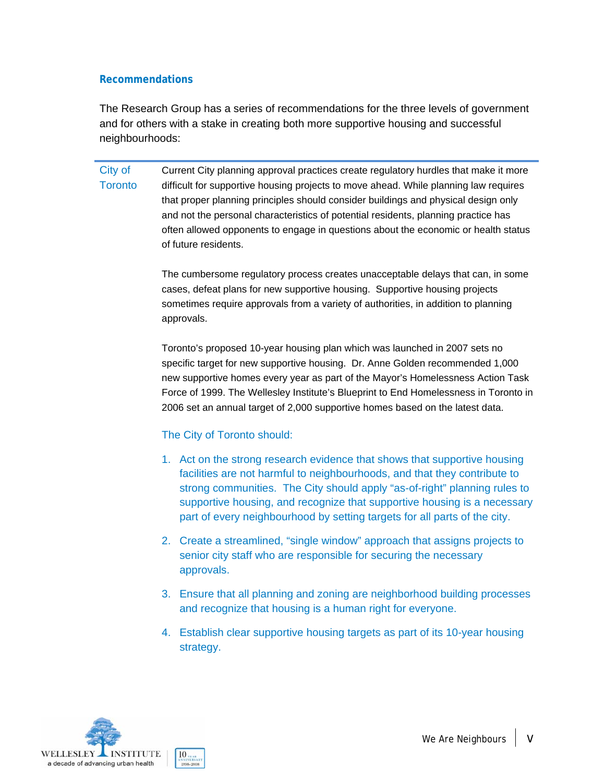#### **Recommendations**

The Research Group has a series of recommendations for the three levels of government and for others with a stake in creating both more supportive housing and successful neighbourhoods:

City of **Toronto** Current City planning approval practices create regulatory hurdles that make it more difficult for supportive housing projects to move ahead. While planning law requires that proper planning principles should consider buildings and physical design only and not the personal characteristics of potential residents, planning practice has often allowed opponents to engage in questions about the economic or health status of future residents.

> The cumbersome regulatory process creates unacceptable delays that can, in some cases, defeat plans for new supportive housing. Supportive housing projects sometimes require approvals from a variety of authorities, in addition to planning approvals.

Toronto's proposed 10-year housing plan which was launched in 2007 sets no specific target for new supportive housing. Dr. Anne Golden recommended 1,000 new supportive homes every year as part of the Mayor's Homelessness Action Task Force of 1999. The Wellesley Institute's Blueprint to End Homelessness in Toronto in 2006 set an annual target of 2,000 supportive homes based on the latest data.

### The City of Toronto should:

- 1. Act on the strong research evidence that shows that supportive housing facilities are not harmful to neighbourhoods, and that they contribute to strong communities. The City should apply "as-of-right" planning rules to supportive housing, and recognize that supportive housing is a necessary part of every neighbourhood by setting targets for all parts of the city.
- 2. Create a streamlined, "single window" approach that assigns projects to senior city staff who are responsible for securing the necessary approvals.
- 3. Ensure that all planning and zoning are neighborhood building processes and recognize that housing is a human right for everyone.
- 4. Establish clear supportive housing targets as part of its 10-year housing strategy.

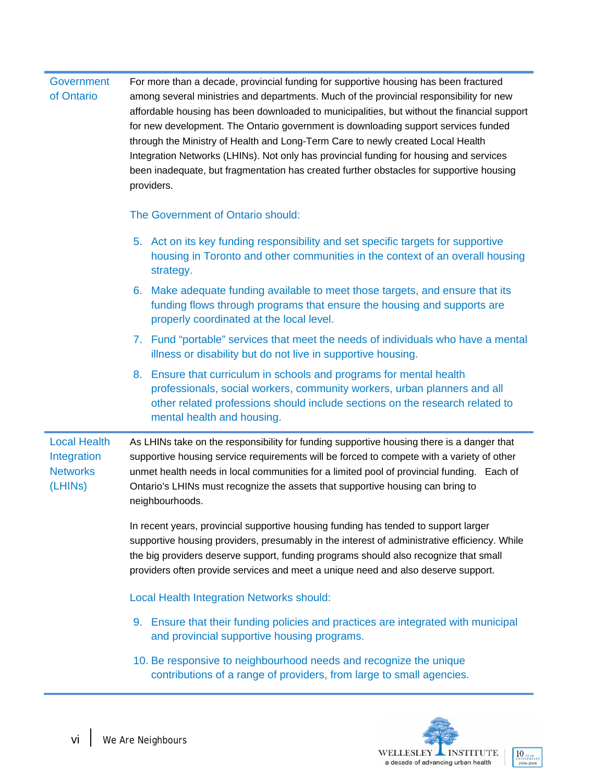#### **Government** of Ontario For more than a decade, provincial funding for supportive housing has been fractured among several ministries and departments. Much of the provincial responsibility for new affordable housing has been downloaded to municipalities, but without the financial support for new development. The Ontario government is downloading support services funded through the Ministry of Health and Long-Term Care to newly created Local Health Integration Networks (LHINs). Not only has provincial funding for housing and services been inadequate, but fragmentation has created further obstacles for supportive housing providers.

#### The Government of Ontario should:

- 5. Act on its key funding responsibility and set specific targets for supportive housing in Toronto and other communities in the context of an overall housing strategy.
- 6. Make adequate funding available to meet those targets, and ensure that its funding flows through programs that ensure the housing and supports are properly coordinated at the local level.
- 7. Fund "portable" services that meet the needs of individuals who have a mental illness or disability but do not live in supportive housing.
- 8. Ensure that curriculum in schools and programs for mental health professionals, social workers, community workers, urban planners and all other related professions should include sections on the research related to mental health and housing.

Local Health Integration **Networks** (LHINs) As LHINs take on the responsibility for funding supportive housing there is a danger that supportive housing service requirements will be forced to compete with a variety of other unmet health needs in local communities for a limited pool of provincial funding. Each of Ontario's LHINs must recognize the assets that supportive housing can bring to neighbourhoods.

> In recent years, provincial supportive housing funding has tended to support larger supportive housing providers, presumably in the interest of administrative efficiency. While the big providers deserve support, funding programs should also recognize that small providers often provide services and meet a unique need and also deserve support.

Local Health Integration Networks should:

- 9. Ensure that their funding policies and practices are integrated with municipal and provincial supportive housing programs.
- 10. Be responsive to neighbourhood needs and recognize the unique contributions of a range of providers, from large to small agencies.



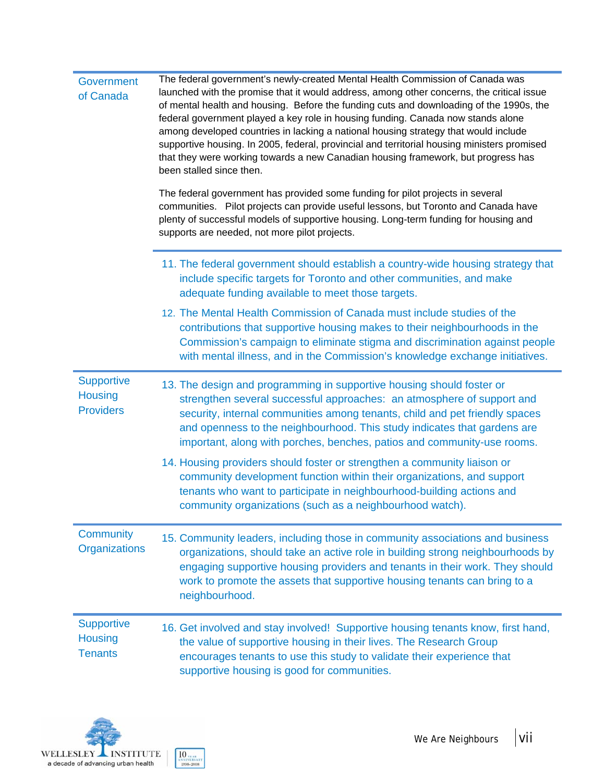| Government<br>of Canada                                 | The federal government's newly-created Mental Health Commission of Canada was<br>launched with the promise that it would address, among other concerns, the critical issue<br>of mental health and housing. Before the funding cuts and downloading of the 1990s, the<br>federal government played a key role in housing funding. Canada now stands alone<br>among developed countries in lacking a national housing strategy that would include<br>supportive housing. In 2005, federal, provincial and territorial housing ministers promised<br>that they were working towards a new Canadian housing framework, but progress has<br>been stalled since then.<br>The federal government has provided some funding for pilot projects in several<br>communities. Pilot projects can provide useful lessons, but Toronto and Canada have<br>plenty of successful models of supportive housing. Long-term funding for housing and<br>supports are needed, not more pilot projects. |  |  |  |  |  |
|---------------------------------------------------------|------------------------------------------------------------------------------------------------------------------------------------------------------------------------------------------------------------------------------------------------------------------------------------------------------------------------------------------------------------------------------------------------------------------------------------------------------------------------------------------------------------------------------------------------------------------------------------------------------------------------------------------------------------------------------------------------------------------------------------------------------------------------------------------------------------------------------------------------------------------------------------------------------------------------------------------------------------------------------------|--|--|--|--|--|
|                                                         | 11. The federal government should establish a country-wide housing strategy that<br>include specific targets for Toronto and other communities, and make<br>adequate funding available to meet those targets.                                                                                                                                                                                                                                                                                                                                                                                                                                                                                                                                                                                                                                                                                                                                                                      |  |  |  |  |  |
|                                                         | 12. The Mental Health Commission of Canada must include studies of the<br>contributions that supportive housing makes to their neighbourhoods in the<br>Commission's campaign to eliminate stigma and discrimination against people<br>with mental illness, and in the Commission's knowledge exchange initiatives.                                                                                                                                                                                                                                                                                                                                                                                                                                                                                                                                                                                                                                                                |  |  |  |  |  |
| <b>Supportive</b><br><b>Housing</b><br><b>Providers</b> | 13. The design and programming in supportive housing should foster or<br>strengthen several successful approaches: an atmosphere of support and<br>security, internal communities among tenants, child and pet friendly spaces<br>and openness to the neighbourhood. This study indicates that gardens are<br>important, along with porches, benches, patios and community-use rooms.                                                                                                                                                                                                                                                                                                                                                                                                                                                                                                                                                                                              |  |  |  |  |  |
|                                                         | 14. Housing providers should foster or strengthen a community liaison or<br>community development function within their organizations, and support<br>tenants who want to participate in neighbourhood-building actions and<br>community organizations (such as a neighbourhood watch).                                                                                                                                                                                                                                                                                                                                                                                                                                                                                                                                                                                                                                                                                            |  |  |  |  |  |
| Community<br><b>Organizations</b>                       | 15. Community leaders, including those in community associations and business<br>organizations, should take an active role in building strong neighbourhoods by<br>engaging supportive housing providers and tenants in their work. They should<br>work to promote the assets that supportive housing tenants can bring to a<br>neighbourhood.                                                                                                                                                                                                                                                                                                                                                                                                                                                                                                                                                                                                                                     |  |  |  |  |  |
| <b>Supportive</b><br><b>Housing</b><br><b>Tenants</b>   | 16. Get involved and stay involved! Supportive housing tenants know, first hand,<br>the value of supportive housing in their lives. The Research Group<br>encourages tenants to use this study to validate their experience that<br>supportive housing is good for communities.                                                                                                                                                                                                                                                                                                                                                                                                                                                                                                                                                                                                                                                                                                    |  |  |  |  |  |

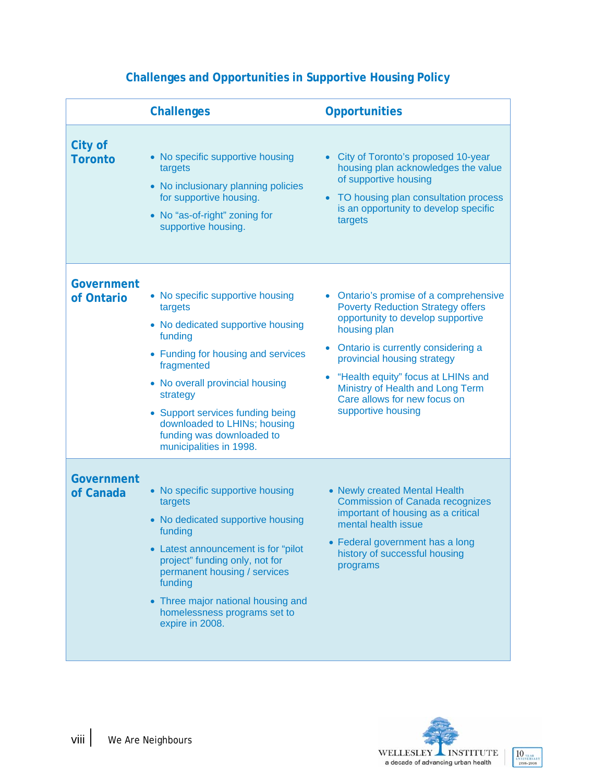|                           | <b>Challenges</b>                                                                                                                                                                                                                                                                                                          | <b>Opportunities</b>                                                                                                                                                                                                                                                                                                                       |
|---------------------------|----------------------------------------------------------------------------------------------------------------------------------------------------------------------------------------------------------------------------------------------------------------------------------------------------------------------------|--------------------------------------------------------------------------------------------------------------------------------------------------------------------------------------------------------------------------------------------------------------------------------------------------------------------------------------------|
| City of<br><b>Toronto</b> | • No specific supportive housing<br>targets<br>• No inclusionary planning policies<br>for supportive housing.<br>• No "as-of-right" zoning for<br>supportive housing.                                                                                                                                                      | City of Toronto's proposed 10-year<br>housing plan acknowledges the value<br>of supportive housing<br>TO housing plan consultation process<br>is an opportunity to develop specific<br>targets                                                                                                                                             |
| Government<br>of Ontario  | • No specific supportive housing<br>targets<br>• No dedicated supportive housing<br>funding<br>• Funding for housing and services<br>fragmented<br>• No overall provincial housing<br>strategy<br>• Support services funding being<br>downloaded to LHINs; housing<br>funding was downloaded to<br>municipalities in 1998. | Ontario's promise of a comprehensive<br><b>Poverty Reduction Strategy offers</b><br>opportunity to develop supportive<br>housing plan<br>Ontario is currently considering a<br>provincial housing strategy<br>"Health equity" focus at LHINs and<br>Ministry of Health and Long Term<br>Care allows for new focus on<br>supportive housing |
| Government<br>of Canada   | • No specific supportive housing<br>targets<br>• No dedicated supportive housing<br>funding<br>• Latest announcement is for "pilot"<br>project" funding only, not for<br>permanent housing / services<br>funding<br>• Three major national housing and<br>homelessness programs set to<br>expire in 2008.                  | • Newly created Mental Health<br><b>Commission of Canada recognizes</b><br>important of housing as a critical<br>mental health issue<br>• Federal government has a long<br>history of successful housing<br>programs                                                                                                                       |

### **Challenges and Opportunities in Supportive Housing Policy**

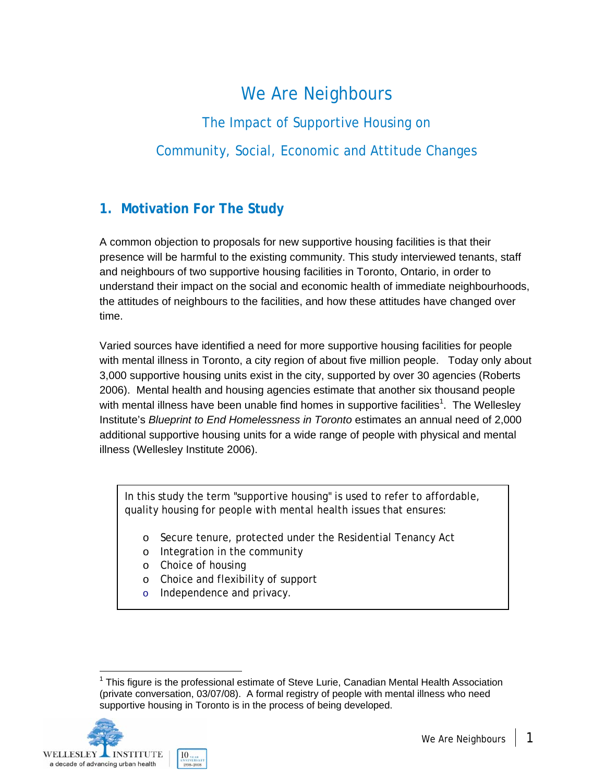# We Are Neighbours

The Impact of Supportive Housing on Community, Social, Economic and Attitude Changes

### **1. Motivation For The Study**

A common objection to proposals for new supportive housing facilities is that their presence will be harmful to the existing community. This study interviewed tenants, staff and neighbours of two supportive housing facilities in Toronto, Ontario, in order to understand their impact on the social and economic health of immediate neighbourhoods, the attitudes of neighbours to the facilities, and how these attitudes have changed over time.

Varied sources have identified a need for more supportive housing facilities for people with mental illness in Toronto, a city region of about five million people. Today only about 3,000 supportive housing units exist in the city, supported by over 30 agencies (Roberts 2006). Mental health and housing agencies estimate that another six thousand people with mental illness have been unable find homes in supportive facilities<sup>1</sup>. The Wellesley Institute's *Blueprint to End Homelessness in Toronto* estimates an annual need of 2,000 additional supportive housing units for a wide range of people with physical and mental illness (Wellesley Institute 2006).

In this study the term "supportive housing" is used to refer to affordable, quality housing for people with mental health issues that ensures:

- o Secure tenure, protected under the Residential Tenancy Act
- o Integration in the community
- o Choice of housing
- o Choice and flexibility of support
- o Independence and privacy.

l  $1$  This figure is the professional estimate of Steve Lurie, Canadian Mental Health Association (private conversation, 03/07/08). A formal registry of people with mental illness who need supportive housing in Toronto is in the process of being developed.

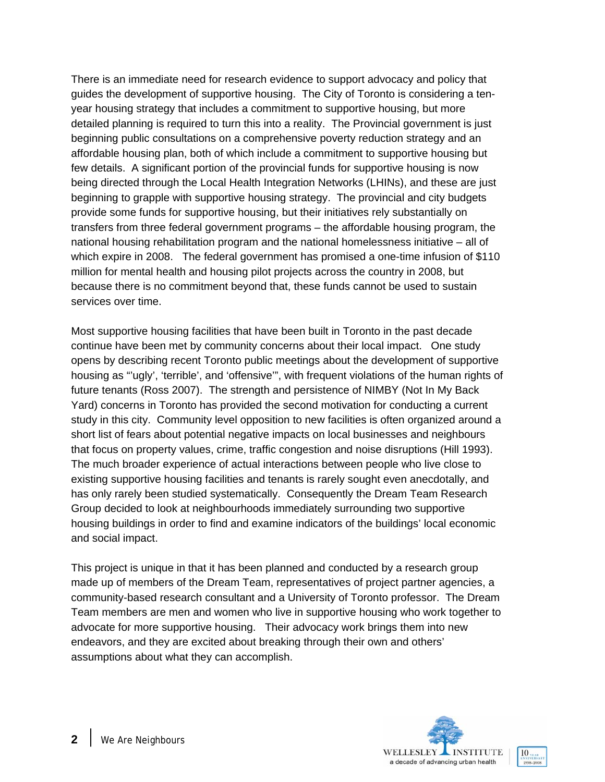There is an immediate need for research evidence to support advocacy and policy that guides the development of supportive housing. The City of Toronto is considering a tenyear housing strategy that includes a commitment to supportive housing, but more detailed planning is required to turn this into a reality. The Provincial government is just beginning public consultations on a comprehensive poverty reduction strategy and an affordable housing plan, both of which include a commitment to supportive housing but few details. A significant portion of the provincial funds for supportive housing is now being directed through the Local Health Integration Networks (LHINs), and these are just beginning to grapple with supportive housing strategy. The provincial and city budgets provide some funds for supportive housing, but their initiatives rely substantially on transfers from three federal government programs – the affordable housing program, the national housing rehabilitation program and the national homelessness initiative – all of which expire in 2008. The federal government has promised a one-time infusion of \$110 million for mental health and housing pilot projects across the country in 2008, but because there is no commitment beyond that, these funds cannot be used to sustain services over time.

Most supportive housing facilities that have been built in Toronto in the past decade continue have been met by community concerns about their local impact. One study opens by describing recent Toronto public meetings about the development of supportive housing as "'ugly', 'terrible', and 'offensive'", with frequent violations of the human rights of future tenants (Ross 2007). The strength and persistence of NIMBY (Not In My Back Yard) concerns in Toronto has provided the second motivation for conducting a current study in this city. Community level opposition to new facilities is often organized around a short list of fears about potential negative impacts on local businesses and neighbours that focus on property values, crime, traffic congestion and noise disruptions (Hill 1993). The much broader experience of actual interactions between people who live close to existing supportive housing facilities and tenants is rarely sought even anecdotally, and has only rarely been studied systematically. Consequently the Dream Team Research Group decided to look at neighbourhoods immediately surrounding two supportive housing buildings in order to find and examine indicators of the buildings' local economic and social impact.

This project is unique in that it has been planned and conducted by a research group made up of members of the Dream Team, representatives of project partner agencies, a community-based research consultant and a University of Toronto professor. The Dream Team members are men and women who live in supportive housing who work together to advocate for more supportive housing. Their advocacy work brings them into new endeavors, and they are excited about breaking through their own and others' assumptions about what they can accomplish.



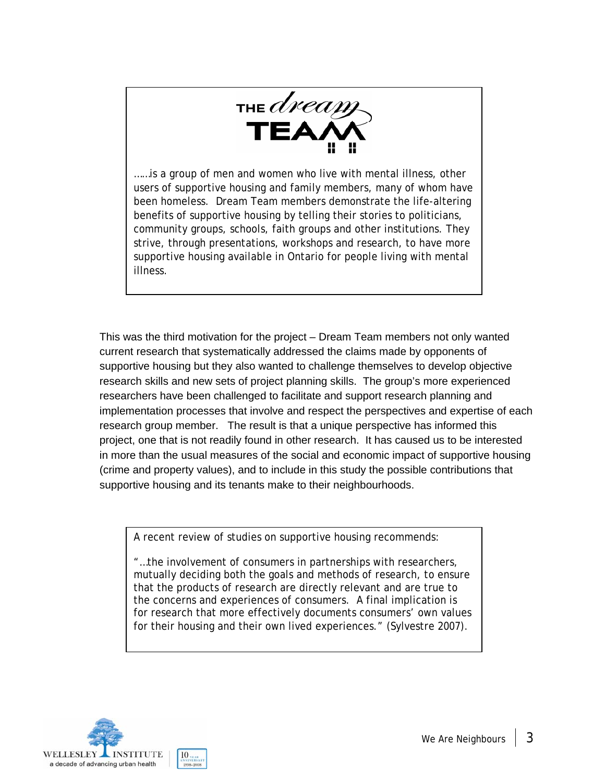

……is a group of men and women who live with mental illness, other users of supportive housing and family members, many of whom have been homeless. Dream Team members demonstrate the life-altering benefits of supportive housing by telling their stories to politicians, community groups, schools, faith groups and other institutions. They strive, through presentations, workshops and research, to have more supportive housing available in Ontario for people living with mental illness.

This was the third motivation for the project – Dream Team members not only wanted current research that systematically addressed the claims made by opponents of supportive housing but they also wanted to challenge themselves to develop objective research skills and new sets of project planning skills. The group's more experienced researchers have been challenged to facilitate and support research planning and implementation processes that involve and respect the perspectives and expertise of each research group member. The result is that a unique perspective has informed this project, one that is not readily found in other research. It has caused us to be interested in more than the usual measures of the social and economic impact of supportive housing (crime and property values), and to include in this study the possible contributions that supportive housing and its tenants make to their neighbourhoods.

A recent review of studies on supportive housing recommends:

"…the involvement of consumers in partnerships with researchers, mutually deciding both the goals and methods of research, to ensure that the products of research are directly relevant and are true to the concerns and experiences of consumers. A final implication is for research that more effectively documents consumers' own values for their housing and their own lived experiences." (Sylvestre 2007).

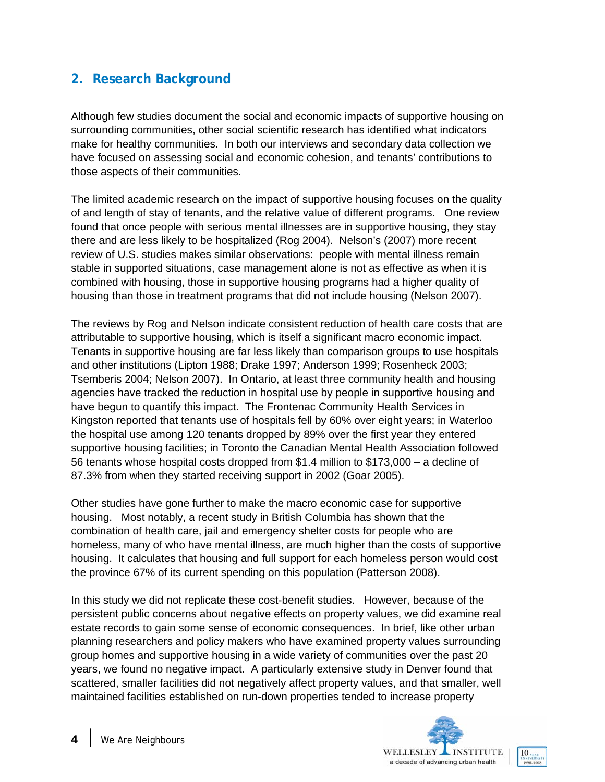### **2. Research Background**

Although few studies document the social and economic impacts of supportive housing on surrounding communities, other social scientific research has identified what indicators make for healthy communities. In both our interviews and secondary data collection we have focused on assessing social and economic cohesion, and tenants' contributions to those aspects of their communities.

The limited academic research on the impact of supportive housing focuses on the quality of and length of stay of tenants, and the relative value of different programs. One review found that once people with serious mental illnesses are in supportive housing, they stay there and are less likely to be hospitalized (Rog 2004). Nelson's (2007) more recent review of U.S. studies makes similar observations: people with mental illness remain stable in supported situations, case management alone is not as effective as when it is combined with housing, those in supportive housing programs had a higher quality of housing than those in treatment programs that did not include housing (Nelson 2007).

The reviews by Rog and Nelson indicate consistent reduction of health care costs that are attributable to supportive housing, which is itself a significant macro economic impact. Tenants in supportive housing are far less likely than comparison groups to use hospitals and other institutions (Lipton 1988; Drake 1997; Anderson 1999; Rosenheck 2003; Tsemberis 2004; Nelson 2007). In Ontario, at least three community health and housing agencies have tracked the reduction in hospital use by people in supportive housing and have begun to quantify this impact. The Frontenac Community Health Services in Kingston reported that tenants use of hospitals fell by 60% over eight years; in Waterloo the hospital use among 120 tenants dropped by 89% over the first year they entered supportive housing facilities; in Toronto the Canadian Mental Health Association followed 56 tenants whose hospital costs dropped from \$1.4 million to \$173,000 – a decline of 87.3% from when they started receiving support in 2002 (Goar 2005).

Other studies have gone further to make the macro economic case for supportive housing. Most notably, a recent study in British Columbia has shown that the combination of health care, jail and emergency shelter costs for people who are homeless, many of who have mental illness, are much higher than the costs of supportive housing. It calculates that housing and full support for each homeless person would cost the province 67% of its current spending on this population (Patterson 2008).

In this study we did not replicate these cost-benefit studies. However, because of the persistent public concerns about negative effects on property values, we did examine real estate records to gain some sense of economic consequences. In brief, like other urban planning researchers and policy makers who have examined property values surrounding group homes and supportive housing in a wide variety of communities over the past 20 years, we found no negative impact. A particularly extensive study in Denver found that scattered, smaller facilities did not negatively affect property values, and that smaller, well maintained facilities established on run-down properties tended to increase property

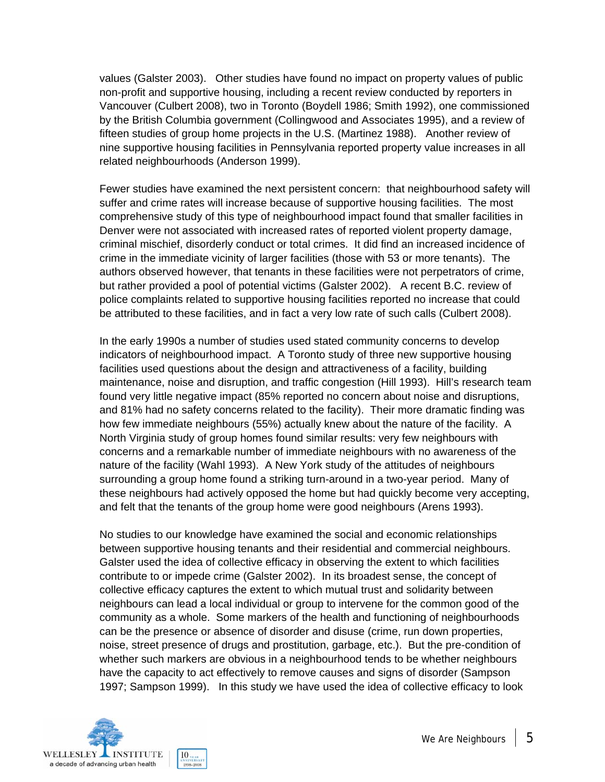values (Galster 2003). Other studies have found no impact on property values of public non-profit and supportive housing, including a recent review conducted by reporters in Vancouver (Culbert 2008), two in Toronto (Boydell 1986; Smith 1992), one commissioned by the British Columbia government (Collingwood and Associates 1995), and a review of fifteen studies of group home projects in the U.S. (Martinez 1988). Another review of nine supportive housing facilities in Pennsylvania reported property value increases in all related neighbourhoods (Anderson 1999).

Fewer studies have examined the next persistent concern: that neighbourhood safety will suffer and crime rates will increase because of supportive housing facilities. The most comprehensive study of this type of neighbourhood impact found that smaller facilities in Denver were not associated with increased rates of reported violent property damage, criminal mischief, disorderly conduct or total crimes. It did find an increased incidence of crime in the immediate vicinity of larger facilities (those with 53 or more tenants). The authors observed however, that tenants in these facilities were not perpetrators of crime, but rather provided a pool of potential victims (Galster 2002). A recent B.C. review of police complaints related to supportive housing facilities reported no increase that could be attributed to these facilities, and in fact a very low rate of such calls (Culbert 2008).

In the early 1990s a number of studies used stated community concerns to develop indicators of neighbourhood impact. A Toronto study of three new supportive housing facilities used questions about the design and attractiveness of a facility, building maintenance, noise and disruption, and traffic congestion (Hill 1993). Hill's research team found very little negative impact (85% reported no concern about noise and disruptions, and 81% had no safety concerns related to the facility). Their more dramatic finding was how few immediate neighbours (55%) actually knew about the nature of the facility. A North Virginia study of group homes found similar results: very few neighbours with concerns and a remarkable number of immediate neighbours with no awareness of the nature of the facility (Wahl 1993). A New York study of the attitudes of neighbours surrounding a group home found a striking turn-around in a two-year period. Many of these neighbours had actively opposed the home but had quickly become very accepting, and felt that the tenants of the group home were good neighbours (Arens 1993).

No studies to our knowledge have examined the social and economic relationships between supportive housing tenants and their residential and commercial neighbours. Galster used the idea of collective efficacy in observing the extent to which facilities contribute to or impede crime (Galster 2002). In its broadest sense, the concept of collective efficacy captures the extent to which mutual trust and solidarity between neighbours can lead a local individual or group to intervene for the common good of the community as a whole. Some markers of the health and functioning of neighbourhoods can be the presence or absence of disorder and disuse (crime, run down properties, noise, street presence of drugs and prostitution, garbage, etc.). But the pre-condition of whether such markers are obvious in a neighbourhood tends to be whether neighbours have the capacity to act effectively to remove causes and signs of disorder (Sampson 1997; Sampson 1999). In this study we have used the idea of collective efficacy to look

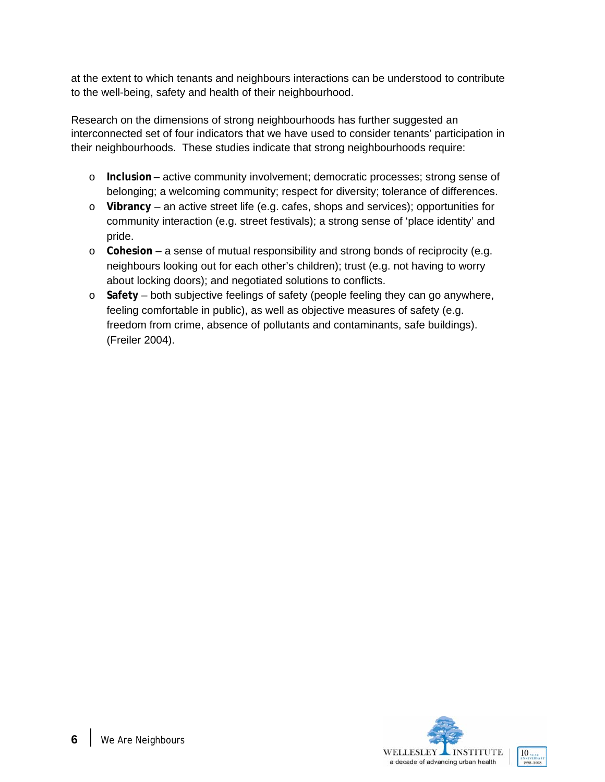at the extent to which tenants and neighbours interactions can be understood to contribute to the well-being, safety and health of their neighbourhood.

Research on the dimensions of strong neighbourhoods has further suggested an interconnected set of four indicators that we have used to consider tenants' participation in their neighbourhoods. These studies indicate that strong neighbourhoods require:

- o **Inclusion** active community involvement; democratic processes; strong sense of belonging; a welcoming community; respect for diversity; tolerance of differences.
- o **Vibrancy**  an active street life (e.g. cafes, shops and services); opportunities for community interaction (e.g. street festivals); a strong sense of 'place identity' and pride.
- o **Cohesion** a sense of mutual responsibility and strong bonds of reciprocity (e.g. neighbours looking out for each other's children); trust (e.g. not having to worry about locking doors); and negotiated solutions to conflicts.
- o **Safety** both subjective feelings of safety (people feeling they can go anywhere, feeling comfortable in public), as well as objective measures of safety (e.g. freedom from crime, absence of pollutants and contaminants, safe buildings). (Freiler 2004).

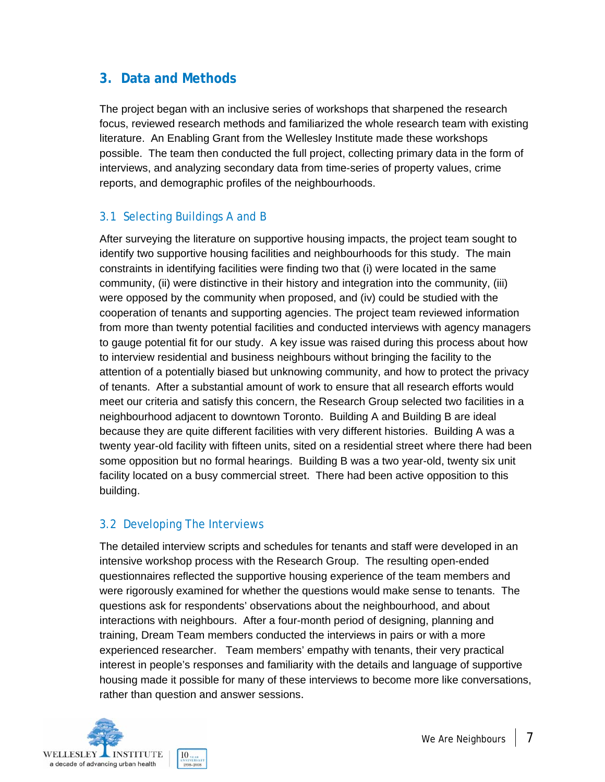### **3. Data and Methods**

The project began with an inclusive series of workshops that sharpened the research focus, reviewed research methods and familiarized the whole research team with existing literature. An Enabling Grant from the Wellesley Institute made these workshops possible. The team then conducted the full project, collecting primary data in the form of interviews, and analyzing secondary data from time-series of property values, crime reports, and demographic profiles of the neighbourhoods.

### 3.1 Selecting Buildings A and B

After surveying the literature on supportive housing impacts, the project team sought to identify two supportive housing facilities and neighbourhoods for this study. The main constraints in identifying facilities were finding two that (i) were located in the same community, (ii) were distinctive in their history and integration into the community, (iii) were opposed by the community when proposed, and (iv) could be studied with the cooperation of tenants and supporting agencies. The project team reviewed information from more than twenty potential facilities and conducted interviews with agency managers to gauge potential fit for our study. A key issue was raised during this process about how to interview residential and business neighbours without bringing the facility to the attention of a potentially biased but unknowing community, and how to protect the privacy of tenants. After a substantial amount of work to ensure that all research efforts would meet our criteria and satisfy this concern, the Research Group selected two facilities in a neighbourhood adjacent to downtown Toronto. Building A and Building B are ideal because they are quite different facilities with very different histories. Building A was a twenty year-old facility with fifteen units, sited on a residential street where there had been some opposition but no formal hearings. Building B was a two year-old, twenty six unit facility located on a busy commercial street. There had been active opposition to this building.

### 3.2 Developing The Interviews

The detailed interview scripts and schedules for tenants and staff were developed in an intensive workshop process with the Research Group. The resulting open-ended questionnaires reflected the supportive housing experience of the team members and were rigorously examined for whether the questions would make sense to tenants. The questions ask for respondents' observations about the neighbourhood, and about interactions with neighbours. After a four-month period of designing, planning and training, Dream Team members conducted the interviews in pairs or with a more experienced researcher. Team members' empathy with tenants, their very practical interest in people's responses and familiarity with the details and language of supportive housing made it possible for many of these interviews to become more like conversations, rather than question and answer sessions.

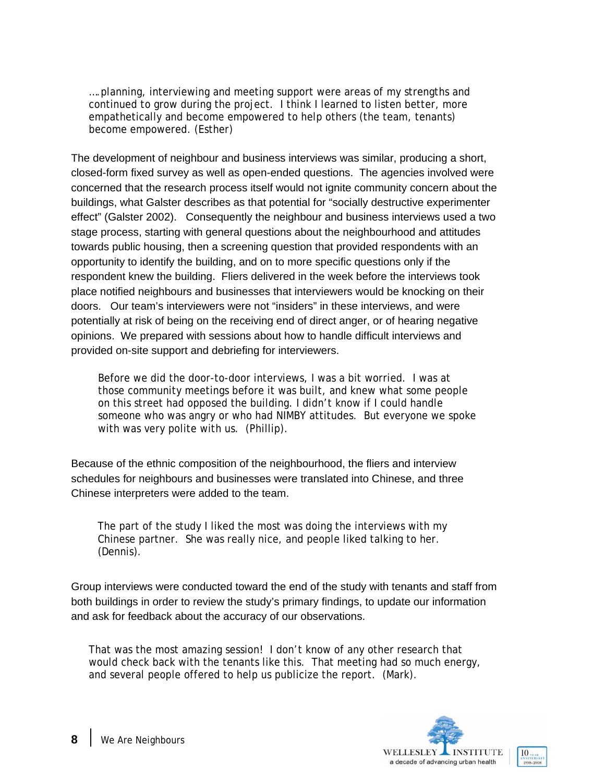….planning, interviewing and meeting support were areas of my strengths and continued to grow during the project. I think I learned to listen better, more empathetically and become empowered to help others (the team, tenants) become empowered. (Esther)

The development of neighbour and business interviews was similar, producing a short, closed-form fixed survey as well as open-ended questions. The agencies involved were concerned that the research process itself would not ignite community concern about the buildings, what Galster describes as that potential for "socially destructive experimenter effect" (Galster 2002). Consequently the neighbour and business interviews used a two stage process, starting with general questions about the neighbourhood and attitudes towards public housing, then a screening question that provided respondents with an opportunity to identify the building, and on to more specific questions only if the respondent knew the building. Fliers delivered in the week before the interviews took place notified neighbours and businesses that interviewers would be knocking on their doors. Our team's interviewers were not "insiders" in these interviews, and were potentially at risk of being on the receiving end of direct anger, or of hearing negative opinions. We prepared with sessions about how to handle difficult interviews and provided on-site support and debriefing for interviewers.

Before we did the door-to-door interviews, I was a bit worried. I was at those community meetings before it was built, and knew what some people on this street had opposed the building. I didn't know if I could handle someone who was angry or who had NIMBY attitudes. But everyone we spoke with was very polite with us. (Phillip).

Because of the ethnic composition of the neighbourhood, the fliers and interview schedules for neighbours and businesses were translated into Chinese, and three Chinese interpreters were added to the team.

The part of the study I liked the most was doing the interviews with my Chinese partner. She was really nice, and people liked talking to her. (Dennis).

Group interviews were conducted toward the end of the study with tenants and staff from both buildings in order to review the study's primary findings, to update our information and ask for feedback about the accuracy of our observations.

That was the most amazing session! I don't know of any other research that would check back with the tenants like this. That meeting had so much energy, and several people offered to help us publicize the report. (Mark).

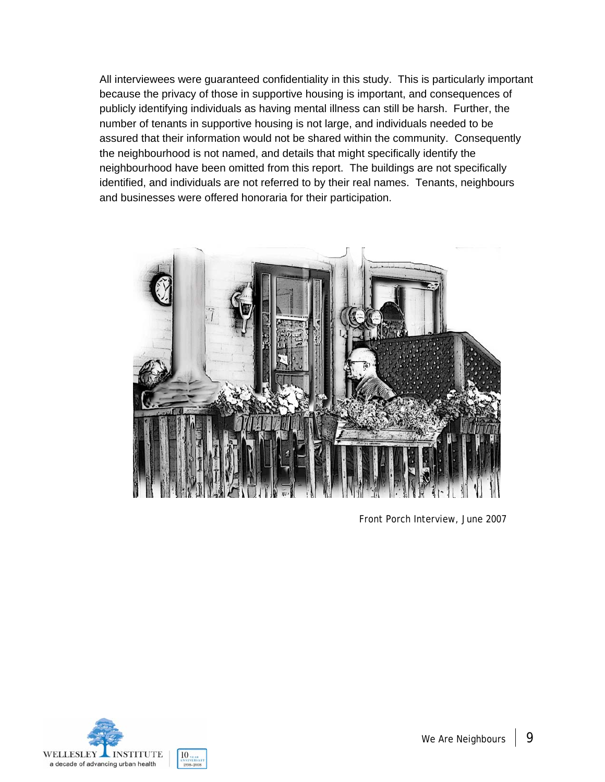All interviewees were guaranteed confidentiality in this study. This is particularly important because the privacy of those in supportive housing is important, and consequences of publicly identifying individuals as having mental illness can still be harsh. Further, the number of tenants in supportive housing is not large, and individuals needed to be assured that their information would not be shared within the community. Consequently the neighbourhood is not named, and details that might specifically identify the neighbourhood have been omitted from this report. The buildings are not specifically identified, and individuals are not referred to by their real names. Tenants, neighbours and businesses were offered honoraria for their participation.



Front Porch Interview, June 2007

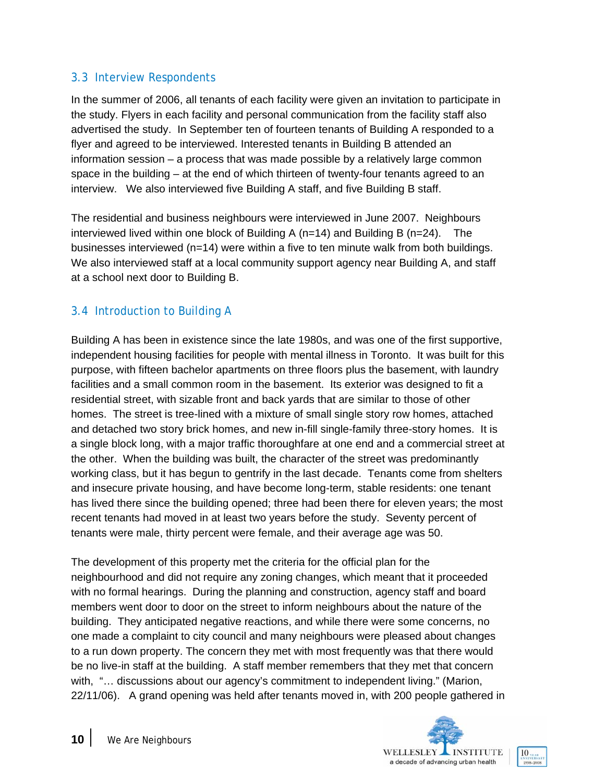### 3.3 Interview Respondents

In the summer of 2006, all tenants of each facility were given an invitation to participate in the study. Flyers in each facility and personal communication from the facility staff also advertised the study. In September ten of fourteen tenants of Building A responded to a flyer and agreed to be interviewed. Interested tenants in Building B attended an information session – a process that was made possible by a relatively large common space in the building – at the end of which thirteen of twenty-four tenants agreed to an interview. We also interviewed five Building A staff, and five Building B staff.

The residential and business neighbours were interviewed in June 2007. Neighbours interviewed lived within one block of Building A (n=14) and Building B (n=24). The businesses interviewed (n=14) were within a five to ten minute walk from both buildings. We also interviewed staff at a local community support agency near Building A, and staff at a school next door to Building B.

### 3.4 Introduction to Building A

Building A has been in existence since the late 1980s, and was one of the first supportive, independent housing facilities for people with mental illness in Toronto. It was built for this purpose, with fifteen bachelor apartments on three floors plus the basement, with laundry facilities and a small common room in the basement. Its exterior was designed to fit a residential street, with sizable front and back yards that are similar to those of other homes. The street is tree-lined with a mixture of small single story row homes, attached and detached two story brick homes, and new in-fill single-family three-story homes. It is a single block long, with a major traffic thoroughfare at one end and a commercial street at the other. When the building was built, the character of the street was predominantly working class, but it has begun to gentrify in the last decade. Tenants come from shelters and insecure private housing, and have become long-term, stable residents: one tenant has lived there since the building opened; three had been there for eleven years; the most recent tenants had moved in at least two years before the study. Seventy percent of tenants were male, thirty percent were female, and their average age was 50.

The development of this property met the criteria for the official plan for the neighbourhood and did not require any zoning changes, which meant that it proceeded with no formal hearings. During the planning and construction, agency staff and board members went door to door on the street to inform neighbours about the nature of the building. They anticipated negative reactions, and while there were some concerns, no one made a complaint to city council and many neighbours were pleased about changes to a run down property. The concern they met with most frequently was that there would be no live-in staff at the building. A staff member remembers that they met that concern with, "… discussions about our agency's commitment to independent living." (Marion, 22/11/06). A grand opening was held after tenants moved in, with 200 people gathered in

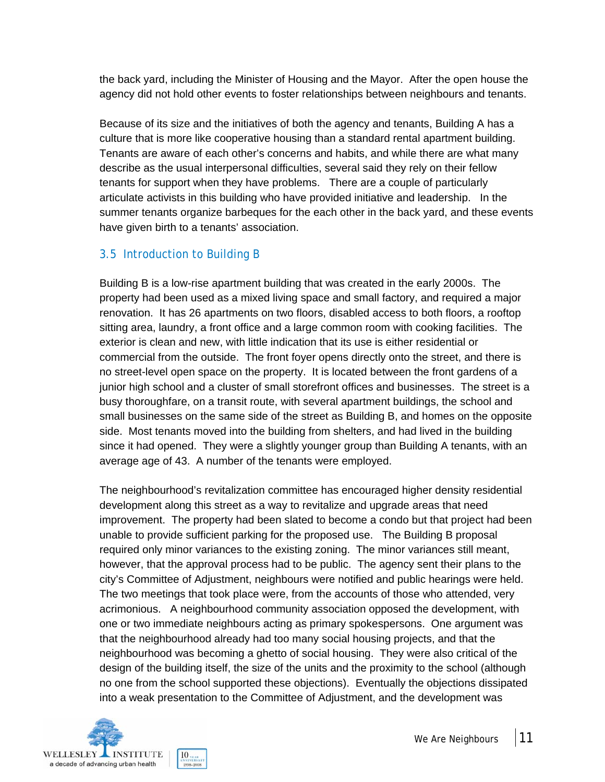the back yard, including the Minister of Housing and the Mayor. After the open house the agency did not hold other events to foster relationships between neighbours and tenants.

Because of its size and the initiatives of both the agency and tenants, Building A has a culture that is more like cooperative housing than a standard rental apartment building. Tenants are aware of each other's concerns and habits, and while there are what many describe as the usual interpersonal difficulties, several said they rely on their fellow tenants for support when they have problems. There are a couple of particularly articulate activists in this building who have provided initiative and leadership. In the summer tenants organize barbeques for the each other in the back yard, and these events have given birth to a tenants' association.

### 3.5 Introduction to Building B

Building B is a low-rise apartment building that was created in the early 2000s. The property had been used as a mixed living space and small factory, and required a major renovation. It has 26 apartments on two floors, disabled access to both floors, a rooftop sitting area, laundry, a front office and a large common room with cooking facilities. The exterior is clean and new, with little indication that its use is either residential or commercial from the outside. The front foyer opens directly onto the street, and there is no street-level open space on the property. It is located between the front gardens of a junior high school and a cluster of small storefront offices and businesses. The street is a busy thoroughfare, on a transit route, with several apartment buildings, the school and small businesses on the same side of the street as Building B, and homes on the opposite side. Most tenants moved into the building from shelters, and had lived in the building since it had opened. They were a slightly younger group than Building A tenants, with an average age of 43. A number of the tenants were employed.

The neighbourhood's revitalization committee has encouraged higher density residential development along this street as a way to revitalize and upgrade areas that need improvement. The property had been slated to become a condo but that project had been unable to provide sufficient parking for the proposed use. The Building B proposal required only minor variances to the existing zoning. The minor variances still meant, however, that the approval process had to be public. The agency sent their plans to the city's Committee of Adjustment, neighbours were notified and public hearings were held. The two meetings that took place were, from the accounts of those who attended, very acrimonious. A neighbourhood community association opposed the development, with one or two immediate neighbours acting as primary spokespersons. One argument was that the neighbourhood already had too many social housing projects, and that the neighbourhood was becoming a ghetto of social housing. They were also critical of the design of the building itself, the size of the units and the proximity to the school (although no one from the school supported these objections). Eventually the objections dissipated into a weak presentation to the Committee of Adjustment, and the development was

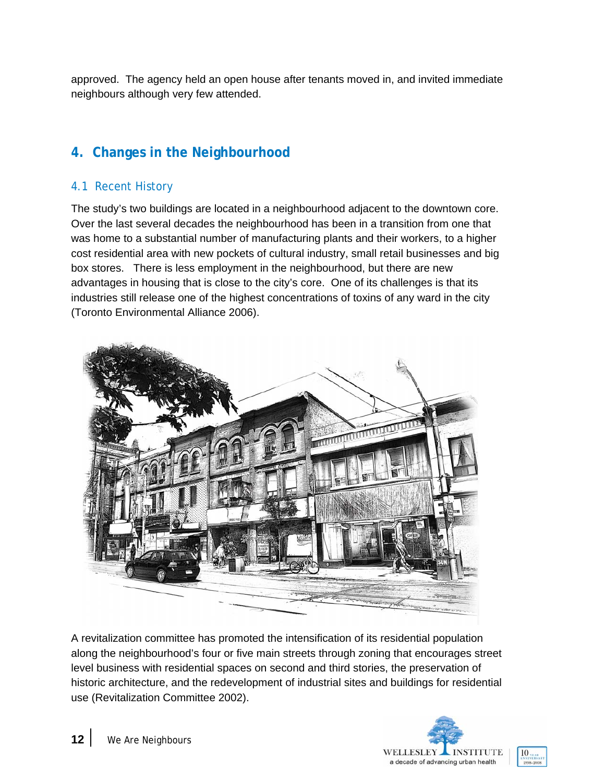approved. The agency held an open house after tenants moved in, and invited immediate neighbours although very few attended.

### **4. Changes in the Neighbourhood**

### 4.1 Recent History

The study's two buildings are located in a neighbourhood adjacent to the downtown core. Over the last several decades the neighbourhood has been in a transition from one that was home to a substantial number of manufacturing plants and their workers, to a higher cost residential area with new pockets of cultural industry, small retail businesses and big box stores. There is less employment in the neighbourhood, but there are new advantages in housing that is close to the city's core. One of its challenges is that its industries still release one of the highest concentrations of toxins of any ward in the city (Toronto Environmental Alliance 2006).



A revitalization committee has promoted the intensification of its residential population along the neighbourhood's four or five main streets through zoning that encourages street level business with residential spaces on second and third stories, the preservation of historic architecture, and the redevelopment of industrial sites and buildings for residential use (Revitalization Committee 2002).

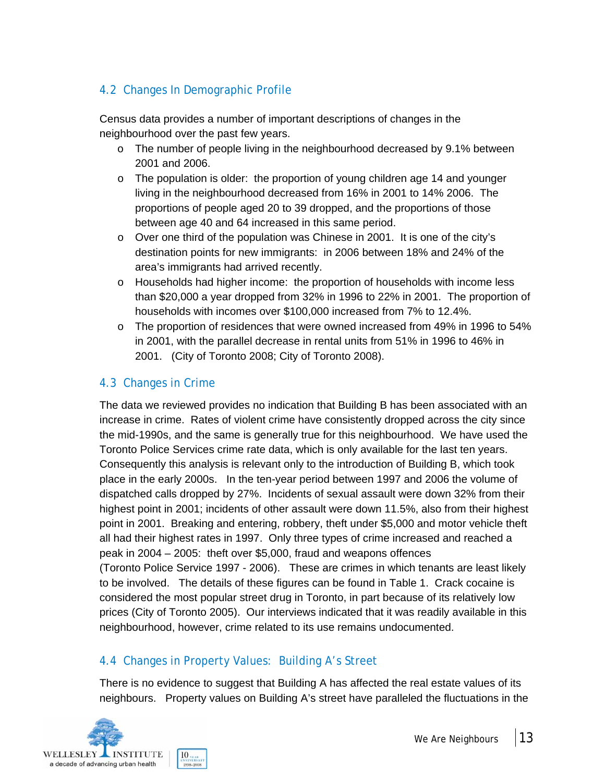### 4.2 Changes In Demographic Profile

Census data provides a number of important descriptions of changes in the neighbourhood over the past few years.

- $\circ$  The number of people living in the neighbourhood decreased by 9.1% between 2001 and 2006.
- o The population is older: the proportion of young children age 14 and younger living in the neighbourhood decreased from 16% in 2001 to 14% 2006. The proportions of people aged 20 to 39 dropped, and the proportions of those between age 40 and 64 increased in this same period.
- $\circ$  Over one third of the population was Chinese in 2001. It is one of the city's destination points for new immigrants: in 2006 between 18% and 24% of the area's immigrants had arrived recently.
- o Households had higher income: the proportion of households with income less than \$20,000 a year dropped from 32% in 1996 to 22% in 2001. The proportion of households with incomes over \$100,000 increased from 7% to 12.4%.
- o The proportion of residences that were owned increased from 49% in 1996 to 54% in 2001, with the parallel decrease in rental units from 51% in 1996 to 46% in 2001. (City of Toronto 2008; City of Toronto 2008).

### 4.3 Changes in Crime

The data we reviewed provides no indication that Building B has been associated with an increase in crime. Rates of violent crime have consistently dropped across the city since the mid-1990s, and the same is generally true for this neighbourhood. We have used the Toronto Police Services crime rate data, which is only available for the last ten years. Consequently this analysis is relevant only to the introduction of Building B, which took place in the early 2000s. In the ten-year period between 1997 and 2006 the volume of dispatched calls dropped by 27%. Incidents of sexual assault were down 32% from their highest point in 2001; incidents of other assault were down 11.5%, also from their highest point in 2001. Breaking and entering, robbery, theft under \$5,000 and motor vehicle theft all had their highest rates in 1997. Only three types of crime increased and reached a peak in 2004 – 2005: theft over \$5,000, fraud and weapons offences (Toronto Police Service 1997 - 2006). These are crimes in which tenants are least likely to be involved. The details of these figures can be found in Table 1. Crack cocaine is considered the most popular street drug in Toronto, in part because of its relatively low prices (City of Toronto 2005). Our interviews indicated that it was readily available in this neighbourhood, however, crime related to its use remains undocumented.

### 4.4 Changes in Property Values: Building A's Street

There is no evidence to suggest that Building A has affected the real estate values of its neighbours. Property values on Building A's street have paralleled the fluctuations in the

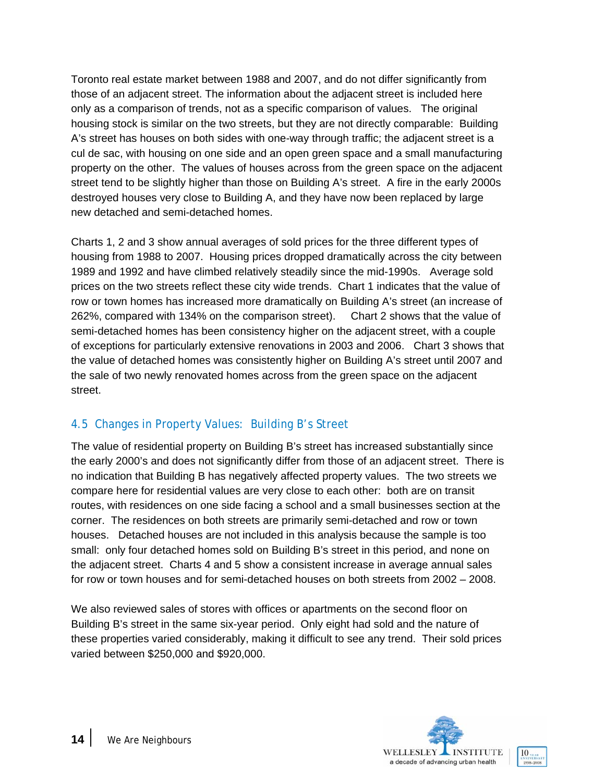Toronto real estate market between 1988 and 2007, and do not differ significantly from those of an adjacent street. The information about the adjacent street is included here only as a comparison of trends, not as a specific comparison of values. The original housing stock is similar on the two streets, but they are not directly comparable: Building A's street has houses on both sides with one-way through traffic; the adjacent street is a cul de sac, with housing on one side and an open green space and a small manufacturing property on the other. The values of houses across from the green space on the adjacent street tend to be slightly higher than those on Building A's street. A fire in the early 2000s destroyed houses very close to Building A, and they have now been replaced by large new detached and semi-detached homes.

Charts 1, 2 and 3 show annual averages of sold prices for the three different types of housing from 1988 to 2007. Housing prices dropped dramatically across the city between 1989 and 1992 and have climbed relatively steadily since the mid-1990s. Average sold prices on the two streets reflect these city wide trends. Chart 1 indicates that the value of row or town homes has increased more dramatically on Building A's street (an increase of 262%, compared with 134% on the comparison street). Chart 2 shows that the value of semi-detached homes has been consistency higher on the adjacent street, with a couple of exceptions for particularly extensive renovations in 2003 and 2006. Chart 3 shows that the value of detached homes was consistently higher on Building A's street until 2007 and the sale of two newly renovated homes across from the green space on the adjacent street.

### 4.5 Changes in Property Values: Building B's Street

The value of residential property on Building B's street has increased substantially since the early 2000's and does not significantly differ from those of an adjacent street. There is no indication that Building B has negatively affected property values. The two streets we compare here for residential values are very close to each other: both are on transit routes, with residences on one side facing a school and a small businesses section at the corner. The residences on both streets are primarily semi-detached and row or town houses. Detached houses are not included in this analysis because the sample is too small: only four detached homes sold on Building B's street in this period, and none on the adjacent street. Charts 4 and 5 show a consistent increase in average annual sales for row or town houses and for semi-detached houses on both streets from 2002 – 2008.

We also reviewed sales of stores with offices or apartments on the second floor on Building B's street in the same six-year period. Only eight had sold and the nature of these properties varied considerably, making it difficult to see any trend. Their sold prices varied between \$250,000 and \$920,000.

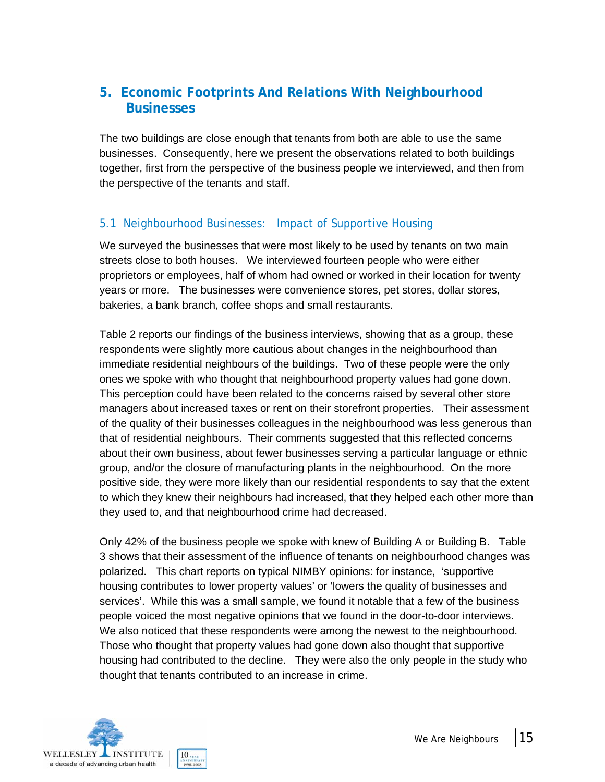### **5. Economic Footprints And Relations With Neighbourhood Businesses**

The two buildings are close enough that tenants from both are able to use the same businesses. Consequently, here we present the observations related to both buildings together, first from the perspective of the business people we interviewed, and then from the perspective of the tenants and staff.

### 5.1 Neighbourhood Businesses: Impact of Supportive Housing

We surveyed the businesses that were most likely to be used by tenants on two main streets close to both houses. We interviewed fourteen people who were either proprietors or employees, half of whom had owned or worked in their location for twenty years or more. The businesses were convenience stores, pet stores, dollar stores, bakeries, a bank branch, coffee shops and small restaurants.

Table 2 reports our findings of the business interviews, showing that as a group, these respondents were slightly more cautious about changes in the neighbourhood than immediate residential neighbours of the buildings. Two of these people were the only ones we spoke with who thought that neighbourhood property values had gone down. This perception could have been related to the concerns raised by several other store managers about increased taxes or rent on their storefront properties. Their assessment of the quality of their businesses colleagues in the neighbourhood was less generous than that of residential neighbours. Their comments suggested that this reflected concerns about their own business, about fewer businesses serving a particular language or ethnic group, and/or the closure of manufacturing plants in the neighbourhood. On the more positive side, they were more likely than our residential respondents to say that the extent to which they knew their neighbours had increased, that they helped each other more than they used to, and that neighbourhood crime had decreased.

Only 42% of the business people we spoke with knew of Building A or Building B. Table 3 shows that their assessment of the influence of tenants on neighbourhood changes was polarized. This chart reports on typical NIMBY opinions: for instance, 'supportive housing contributes to lower property values' or 'lowers the quality of businesses and services'. While this was a small sample, we found it notable that a few of the business people voiced the most negative opinions that we found in the door-to-door interviews. We also noticed that these respondents were among the newest to the neighbourhood. Those who thought that property values had gone down also thought that supportive housing had contributed to the decline. They were also the only people in the study who thought that tenants contributed to an increase in crime.

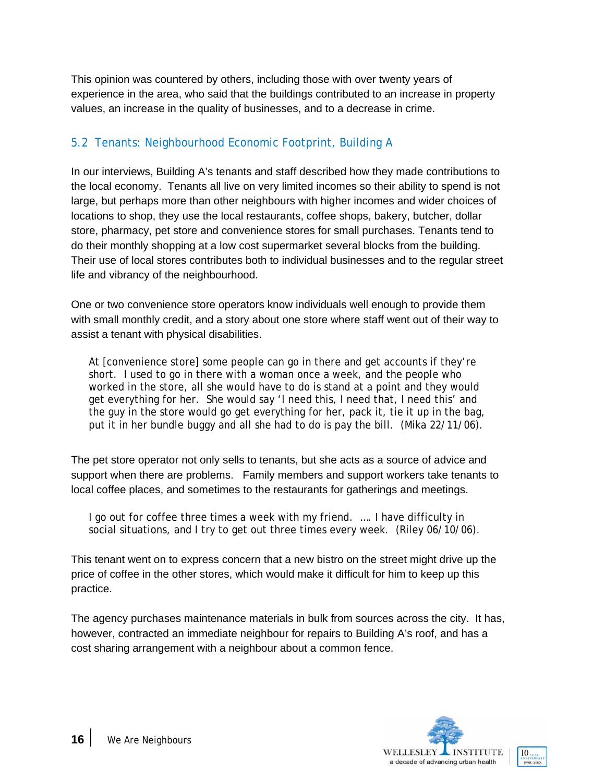This opinion was countered by others, including those with over twenty years of experience in the area, who said that the buildings contributed to an increase in property values, an increase in the quality of businesses, and to a decrease in crime.

### 5.2 Tenants: Neighbourhood Economic Footprint, Building A

In our interviews, Building A's tenants and staff described how they made contributions to the local economy. Tenants all live on very limited incomes so their ability to spend is not large, but perhaps more than other neighbours with higher incomes and wider choices of locations to shop, they use the local restaurants, coffee shops, bakery, butcher, dollar store, pharmacy, pet store and convenience stores for small purchases. Tenants tend to do their monthly shopping at a low cost supermarket several blocks from the building. Their use of local stores contributes both to individual businesses and to the regular street life and vibrancy of the neighbourhood.

One or two convenience store operators know individuals well enough to provide them with small monthly credit, and a story about one store where staff went out of their way to assist a tenant with physical disabilities.

At [convenience store] some people can go in there and get accounts if they're short. I used to go in there with a woman once a week, and the people who worked in the store, all she would have to do is stand at a point and they would get everything for her. She would say 'I need this, I need that, I need this' and the guy in the store would go get everything for her, pack it, tie it up in the bag, put it in her bundle buggy and all she had to do is pay the bill. (Mika 22/11/06).

The pet store operator not only sells to tenants, but she acts as a source of advice and support when there are problems. Family members and support workers take tenants to local coffee places, and sometimes to the restaurants for gatherings and meetings.

I go out for coffee three times a week with my friend. …. I have difficulty in social situations, and I try to get out three times every week. (Riley 06/10/06).

This tenant went on to express concern that a new bistro on the street might drive up the price of coffee in the other stores, which would make it difficult for him to keep up this practice.

The agency purchases maintenance materials in bulk from sources across the city. It has, however, contracted an immediate neighbour for repairs to Building A's roof, and has a cost sharing arrangement with a neighbour about a common fence.

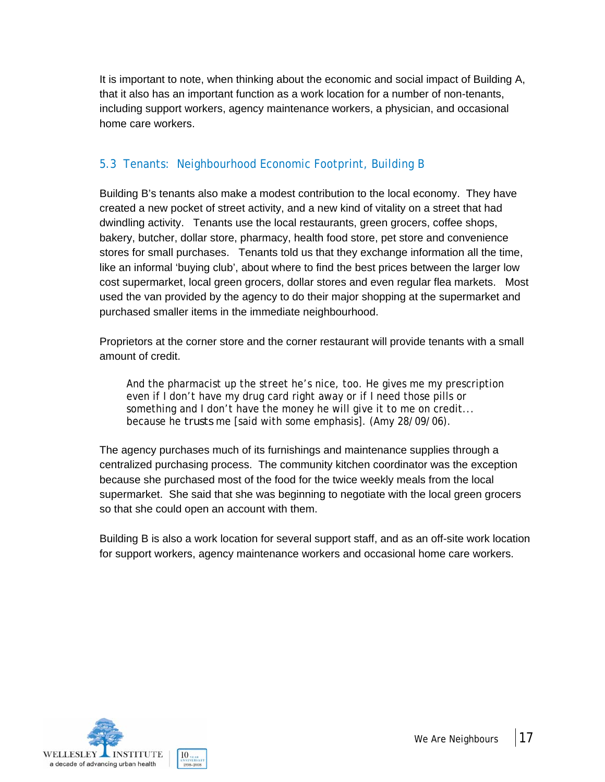It is important to note, when thinking about the economic and social impact of Building A, that it also has an important function as a work location for a number of non-tenants, including support workers, agency maintenance workers, a physician, and occasional home care workers.

### 5.3 Tenants: Neighbourhood Economic Footprint, Building B

Building B's tenants also make a modest contribution to the local economy. They have created a new pocket of street activity, and a new kind of vitality on a street that had dwindling activity. Tenants use the local restaurants, green grocers, coffee shops, bakery, butcher, dollar store, pharmacy, health food store, pet store and convenience stores for small purchases. Tenants told us that they exchange information all the time, like an informal 'buying club', about where to find the best prices between the larger low cost supermarket, local green grocers, dollar stores and even regular flea markets. Most used the van provided by the agency to do their major shopping at the supermarket and purchased smaller items in the immediate neighbourhood.

Proprietors at the corner store and the corner restaurant will provide tenants with a small amount of credit.

And the pharmacist up the street he's nice, too. He gives me my prescription even if I don't have my drug card right away or if I need those pills or something and I don't have the money he will give it to me on credit... because he *trusts* me [said with some emphasis]. (Amy 28/09/06).

The agency purchases much of its furnishings and maintenance supplies through a centralized purchasing process. The community kitchen coordinator was the exception because she purchased most of the food for the twice weekly meals from the local supermarket. She said that she was beginning to negotiate with the local green grocers so that she could open an account with them.

Building B is also a work location for several support staff, and as an off-site work location for support workers, agency maintenance workers and occasional home care workers.

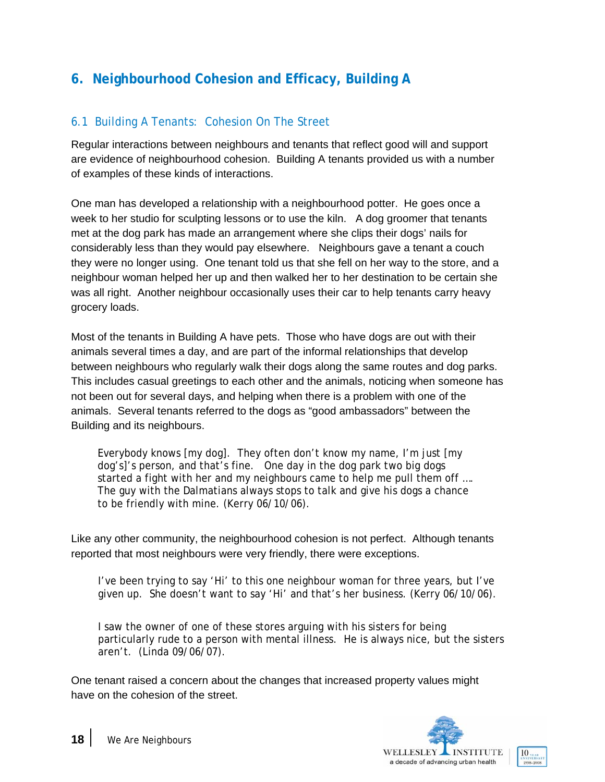### **6. Neighbourhood Cohesion and Efficacy, Building A**

### 6.1 Building A Tenants: Cohesion On The Street

Regular interactions between neighbours and tenants that reflect good will and support are evidence of neighbourhood cohesion. Building A tenants provided us with a number of examples of these kinds of interactions.

One man has developed a relationship with a neighbourhood potter. He goes once a week to her studio for sculpting lessons or to use the kiln. A dog groomer that tenants met at the dog park has made an arrangement where she clips their dogs' nails for considerably less than they would pay elsewhere. Neighbours gave a tenant a couch they were no longer using. One tenant told us that she fell on her way to the store, and a neighbour woman helped her up and then walked her to her destination to be certain she was all right. Another neighbour occasionally uses their car to help tenants carry heavy grocery loads.

Most of the tenants in Building A have pets. Those who have dogs are out with their animals several times a day, and are part of the informal relationships that develop between neighbours who regularly walk their dogs along the same routes and dog parks. This includes casual greetings to each other and the animals, noticing when someone has not been out for several days, and helping when there is a problem with one of the animals. Several tenants referred to the dogs as "good ambassadors" between the Building and its neighbours.

Everybody knows [my dog]. They often don't know my name, I'm just [my dog's]'s person, and that's fine. One day in the dog park two big dogs started a fight with her and my neighbours came to help me pull them off …. The guy with the Dalmatians always stops to talk and give his dogs a chance to be friendly with mine. (Kerry 06/10/06).

Like any other community, the neighbourhood cohesion is not perfect. Although tenants reported that most neighbours were very friendly, there were exceptions.

I've been trying to say 'Hi' to this one neighbour woman for three years, but I've given up. She doesn't want to say 'Hi' and that's her business. (Kerry 06/10/06).

I saw the owner of one of these stores arguing with his sisters for being particularly rude to a person with mental illness. He is always nice, but the sisters aren't. (Linda 09/06/07).

One tenant raised a concern about the changes that increased property values might have on the cohesion of the street.

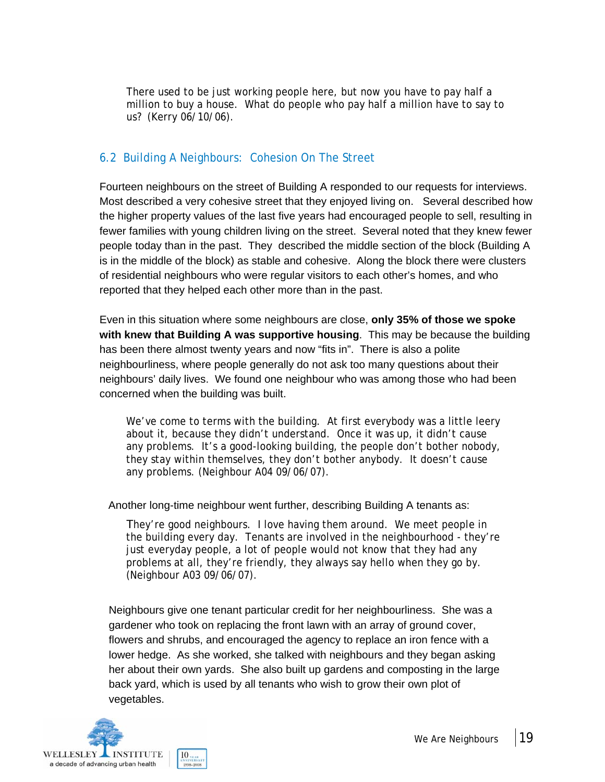There used to be just working people here, but now you have to pay half a million to buy a house. What do people who pay half a million have to say to us? (Kerry 06/10/06).

### 6.2 Building A Neighbours: Cohesion On The Street

Fourteen neighbours on the street of Building A responded to our requests for interviews. Most described a very cohesive street that they enjoyed living on. Several described how the higher property values of the last five years had encouraged people to sell, resulting in fewer families with young children living on the street. Several noted that they knew fewer people today than in the past. They described the middle section of the block (Building A is in the middle of the block) as stable and cohesive. Along the block there were clusters of residential neighbours who were regular visitors to each other's homes, and who reported that they helped each other more than in the past.

Even in this situation where some neighbours are close, **only 35% of those we spoke with knew that Building A was supportive housing**. This may be because the building has been there almost twenty years and now "fits in". There is also a polite neighbourliness, where people generally do not ask too many questions about their neighbours' daily lives. We found one neighbour who was among those who had been concerned when the building was built.

We've come to terms with the building. At first everybody was a little leery about it, because they didn't understand. Once it was up, it didn't cause any problems. It's a good-looking building, the people don't bother nobody, they stay within themselves, they don't bother anybody. It doesn't cause any problems. (Neighbour A04 09/06/07).

Another long-time neighbour went further, describing Building A tenants as:

They're good neighbours. I love having them around. We meet people in the building every day. Tenants are involved in the neighbourhood - they're just everyday people, a lot of people would not know that they had any problems at all, they're friendly, they always say hello when they go by. (Neighbour A03 09/06/07).

Neighbours give one tenant particular credit for her neighbourliness. She was a gardener who took on replacing the front lawn with an array of ground cover, flowers and shrubs, and encouraged the agency to replace an iron fence with a lower hedge. As she worked, she talked with neighbours and they began asking her about their own yards. She also built up gardens and composting in the large back yard, which is used by all tenants who wish to grow their own plot of vegetables.

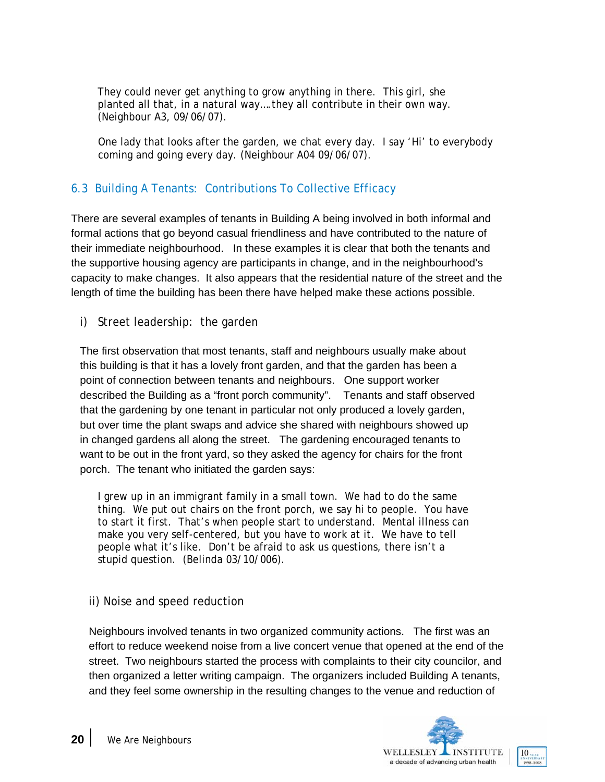They could never get anything to grow anything in there. This girl, she planted all that, in a natural way….they all contribute in their own way. (Neighbour A3, 09/06/07).

One lady that looks after the garden, we chat every day. I say 'Hi' to everybody coming and going every day. (Neighbour A04 09/06/07).

### 6.3 Building A Tenants: Contributions To Collective Efficacy

There are several examples of tenants in Building A being involved in both informal and formal actions that go beyond casual friendliness and have contributed to the nature of their immediate neighbourhood. In these examples it is clear that both the tenants and the supportive housing agency are participants in change, and in the neighbourhood's capacity to make changes. It also appears that the residential nature of the street and the length of time the building has been there have helped make these actions possible.

i) Street leadership: the garden

The first observation that most tenants, staff and neighbours usually make about this building is that it has a lovely front garden, and that the garden has been a point of connection between tenants and neighbours. One support worker described the Building as a "front porch community". Tenants and staff observed that the gardening by one tenant in particular not only produced a lovely garden, but over time the plant swaps and advice she shared with neighbours showed up in changed gardens all along the street. The gardening encouraged tenants to want to be out in the front yard, so they asked the agency for chairs for the front porch. The tenant who initiated the garden says:

I grew up in an immigrant family in a small town. We had to do the same thing. We put out chairs on the front porch, we say hi to people. You have to start it first. That's when people start to understand. Mental illness can make you very self-centered, but you have to work at it. We have to tell people what it's like. Don't be afraid to ask us questions, there isn't a stupid question. (Belinda 03/10/006).

ii) Noise and speed reduction

Neighbours involved tenants in two organized community actions. The first was an effort to reduce weekend noise from a live concert venue that opened at the end of the street. Two neighbours started the process with complaints to their city councilor, and then organized a letter writing campaign. The organizers included Building A tenants, and they feel some ownership in the resulting changes to the venue and reduction of

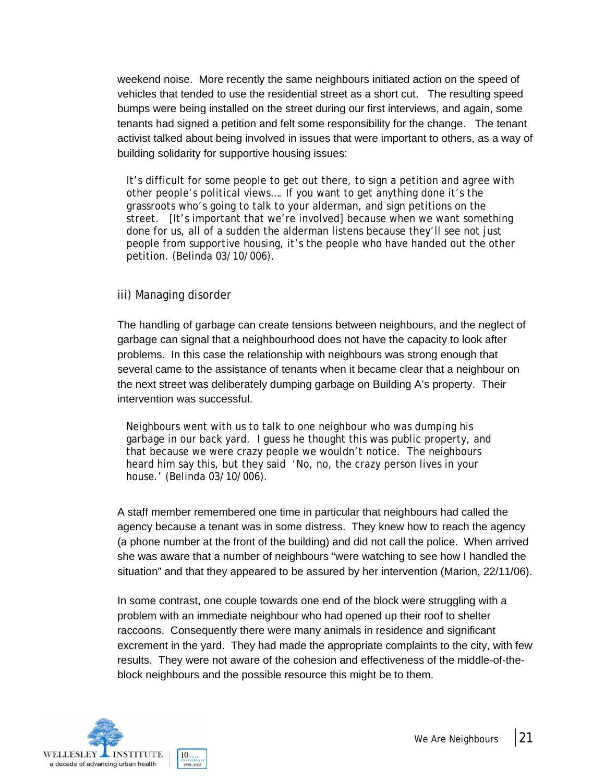weekend noise. More recently the same neighbours initiated action on the speed of vehicles that tended to use the residential street as a short cut. The resulting speed bumps were being installed on the street during our first interviews, and again, some tenants had signed a petition and felt some responsibility for the change. The tenant activist talked about being involved in issues that were important to others, as a way of building solidarity for supportive housing issues:

It's difficult for some people to get out there, to sign a petition and agree with other people's political views…. If you want to get anything done it's the grassroots who's going to talk to your alderman, and sign petitions on the street. [It's important that we're involved] because when we want something done for us, all of a sudden the alderman listens because they'll see not just people from supportive housing, it's the people who have handed out the other petition. (Belinda 03/10/006).

#### iii) Managing disorder

The handling of garbage can create tensions between neighbours, and the neglect of garbage can signal that a neighbourhood does not have the capacity to look after problems. In this case the relationship with neighbours was strong enough that several came to the assistance of tenants when it became clear that a neighbour on the next street was deliberately dumping garbage on Building A's property. Their intervention was successful.

Neighbours went with us to talk to one neighbour who was dumping his garbage in our back yard. I guess he thought this was public property, and that because we were crazy people we wouldn't notice. The neighbours heard him say this, but they said 'No, no, the crazy person lives in your house.' (Belinda 03/10/006).

A staff member remembered one time in particular that neighbours had called the agency because a tenant was in some distress. They knew how to reach the agency (a phone number at the front of the building) and did not call the police. When arrived she was aware that a number of neighbours "were watching to see how I handled the situation" and that they appeared to be assured by her intervention (Marion, 22/11/06).

In some contrast, one couple towards one end of the block were struggling with a problem with an immediate neighbour who had opened up their roof to shelter raccoons. Consequently there were many animals in residence and significant excrement in the yard. They had made the appropriate complaints to the city, with few results. They were not aware of the cohesion and effectiveness of the middle-of-theblock neighbours and the possible resource this might be to them.

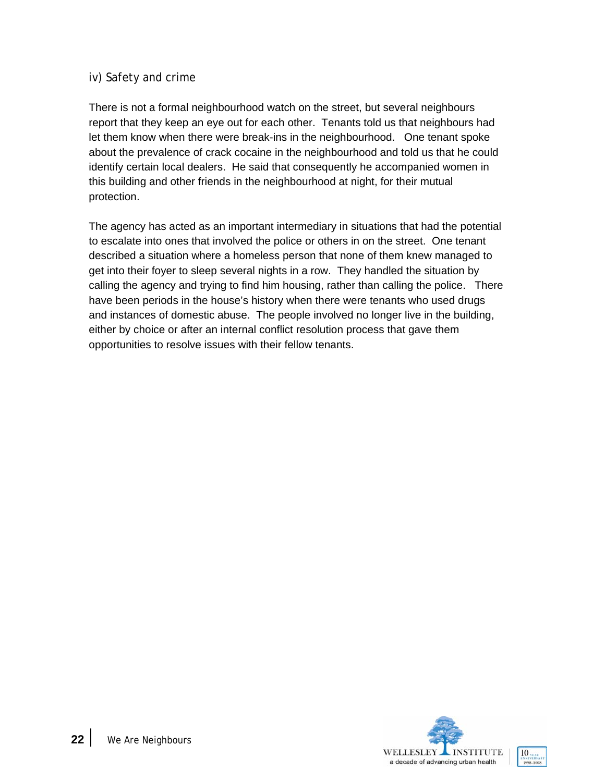### iv) Safety and crime

There is not a formal neighbourhood watch on the street, but several neighbours report that they keep an eye out for each other. Tenants told us that neighbours had let them know when there were break-ins in the neighbourhood. One tenant spoke about the prevalence of crack cocaine in the neighbourhood and told us that he could identify certain local dealers. He said that consequently he accompanied women in this building and other friends in the neighbourhood at night, for their mutual protection.

The agency has acted as an important intermediary in situations that had the potential to escalate into ones that involved the police or others in on the street. One tenant described a situation where a homeless person that none of them knew managed to get into their foyer to sleep several nights in a row. They handled the situation by calling the agency and trying to find him housing, rather than calling the police. There have been periods in the house's history when there were tenants who used drugs and instances of domestic abuse. The people involved no longer live in the building, either by choice or after an internal conflict resolution process that gave them opportunities to resolve issues with their fellow tenants.

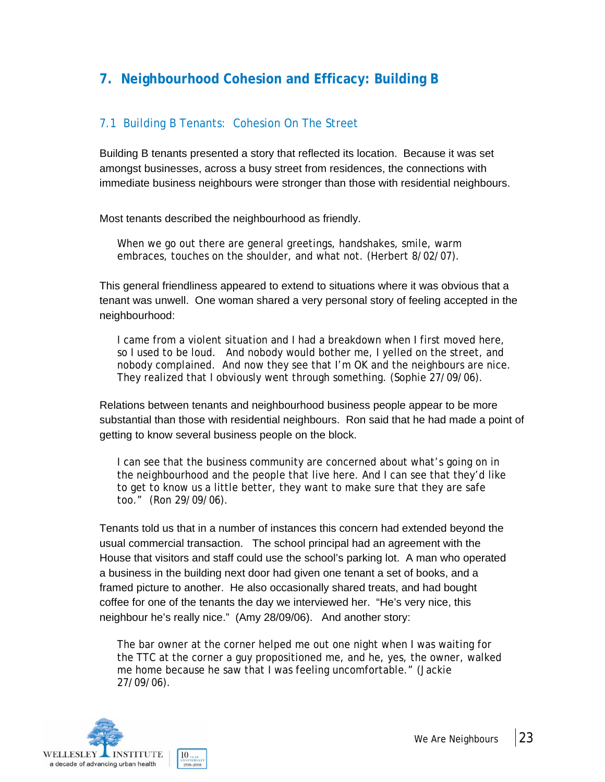### **7. Neighbourhood Cohesion and Efficacy: Building B**

### 7.1 Building B Tenants: Cohesion On The Street

Building B tenants presented a story that reflected its location. Because it was set amongst businesses, across a busy street from residences, the connections with immediate business neighbours were stronger than those with residential neighbours.

Most tenants described the neighbourhood as friendly.

When we go out there are general greetings, handshakes, smile, warm embraces, touches on the shoulder, and what not. (Herbert 8/02/07).

This general friendliness appeared to extend to situations where it was obvious that a tenant was unwell. One woman shared a very personal story of feeling accepted in the neighbourhood:

I came from a violent situation and I had a breakdown when I first moved here, so I used to be loud. And nobody would bother me, I yelled on the street, and nobody complained. And now they see that I'm OK and the neighbours are nice. They realized that I obviously went through something. (Sophie 27/09/06).

Relations between tenants and neighbourhood business people appear to be more substantial than those with residential neighbours. Ron said that he had made a point of getting to know several business people on the block.

I can see that the business community are concerned about what's going on in the neighbourhood and the people that live here. And I can see that they'd like to get to know us a little better, they want to make sure that they are safe too." (Ron 29/09/06).

Tenants told us that in a number of instances this concern had extended beyond the usual commercial transaction. The school principal had an agreement with the House that visitors and staff could use the school's parking lot. A man who operated a business in the building next door had given one tenant a set of books, and a framed picture to another. He also occasionally shared treats, and had bought coffee for one of the tenants the day we interviewed her. "He's very nice, this neighbour he's really nice." (Amy 28/09/06). And another story:

The bar owner at the corner helped me out one night when I was waiting for the TTC at the corner a guy propositioned me, and he, yes, the owner, walked me home because he saw that I was feeling uncomfortable." (Jackie 27/09/06).

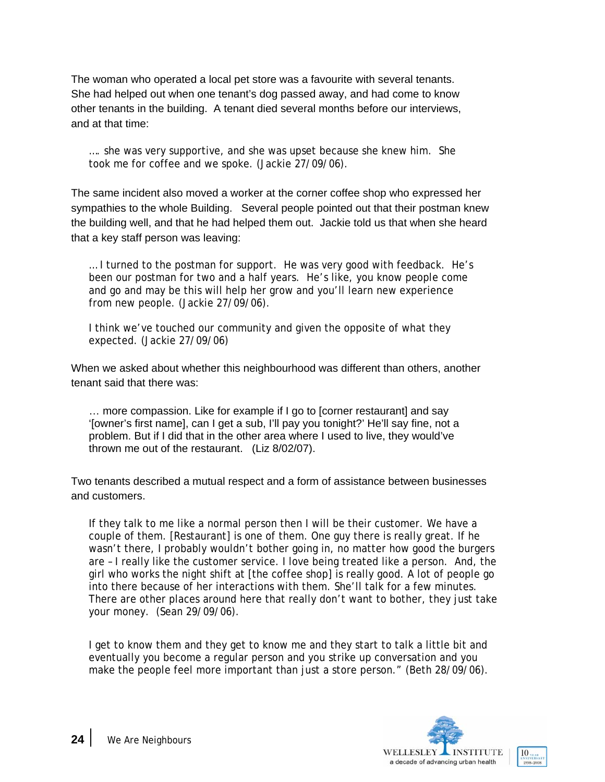The woman who operated a local pet store was a favourite with several tenants. She had helped out when one tenant's dog passed away, and had come to know other tenants in the building. A tenant died several months before our interviews, and at that time:

…. she was very supportive, and she was upset because she knew him. She took me for coffee and we spoke. (Jackie 27/09/06).

The same incident also moved a worker at the corner coffee shop who expressed her sympathies to the whole Building. Several people pointed out that their postman knew the building well, and that he had helped them out. Jackie told us that when she heard that a key staff person was leaving:

… I turned to the postman for support. He was very good with feedback. He's been our postman for two and a half years. He's like, you know people come and go and may be this will help her grow and you'll learn new experience from new people. (Jackie 27/09/06).

I think we've touched our community and given the opposite of what they expected. (Jackie 27/09/06)

When we asked about whether this neighbourhood was different than others, another tenant said that there was:

… more compassion. Like for example if I go to [corner restaurant] and say '[owner's first name], can I get a sub, I'll pay you tonight?' He'll say fine, not a problem. But if I did that in the other area where I used to live, they would've thrown me out of the restaurant. (Liz 8/02/07).

Two tenants described a mutual respect and a form of assistance between businesses and customers.

If they talk to me like a normal person then I will be their customer. We have a couple of them. [Restaurant] is one of them. One guy there is really great. If he wasn't there, I probably wouldn't bother going in, no matter how good the burgers are – I really like the customer service. I love being treated like a person. And, the girl who works the night shift at [the coffee shop] is really good. A lot of people go into there because of her interactions with them. She'll talk for a few minutes. There are other places around here that really don't want to bother, they just take your money. (Sean 29/09/06).

I get to know them and they get to know me and they start to talk a little bit and eventually you become a regular person and you strike up conversation and you make the people feel more important than just a store person." (Beth 28/09/06).

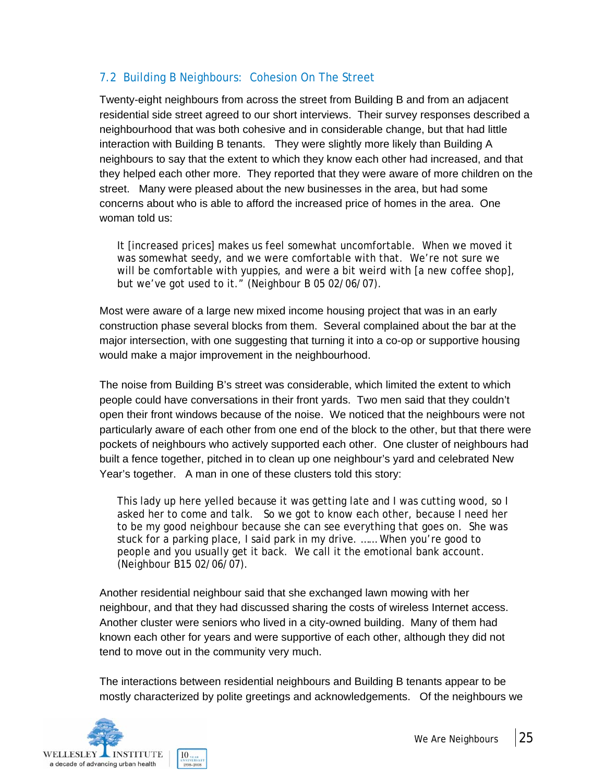### 7.2 Building B Neighbours: Cohesion On The Street

Twenty-eight neighbours from across the street from Building B and from an adjacent residential side street agreed to our short interviews. Their survey responses described a neighbourhood that was both cohesive and in considerable change, but that had little interaction with Building B tenants. They were slightly more likely than Building A neighbours to say that the extent to which they know each other had increased, and that they helped each other more. They reported that they were aware of more children on the street. Many were pleased about the new businesses in the area, but had some concerns about who is able to afford the increased price of homes in the area. One woman told us:

It [increased prices] makes us feel somewhat uncomfortable. When we moved it was somewhat seedy, and we were comfortable with that. We're not sure we will be comfortable with yuppies, and were a bit weird with [a new coffee shop], but we've got used to it." (Neighbour B 05 02/06/07).

Most were aware of a large new mixed income housing project that was in an early construction phase several blocks from them. Several complained about the bar at the major intersection, with one suggesting that turning it into a co-op or supportive housing would make a major improvement in the neighbourhood.

The noise from Building B's street was considerable, which limited the extent to which people could have conversations in their front yards. Two men said that they couldn't open their front windows because of the noise. We noticed that the neighbours were not particularly aware of each other from one end of the block to the other, but that there were pockets of neighbours who actively supported each other. One cluster of neighbours had built a fence together, pitched in to clean up one neighbour's yard and celebrated New Year's together. A man in one of these clusters told this story:

This lady up here yelled because it was getting late and I was cutting wood, so I asked her to come and talk. So we got to know each other, because I need her to be my good neighbour because she can see everything that goes on. She was stuck for a parking place, I said park in my drive. …… When you're good to people and you usually get it back. We call it the emotional bank account. (Neighbour B15 02/06/07).

Another residential neighbour said that she exchanged lawn mowing with her neighbour, and that they had discussed sharing the costs of wireless Internet access. Another cluster were seniors who lived in a city-owned building. Many of them had known each other for years and were supportive of each other, although they did not tend to move out in the community very much.

The interactions between residential neighbours and Building B tenants appear to be mostly characterized by polite greetings and acknowledgements. Of the neighbours we

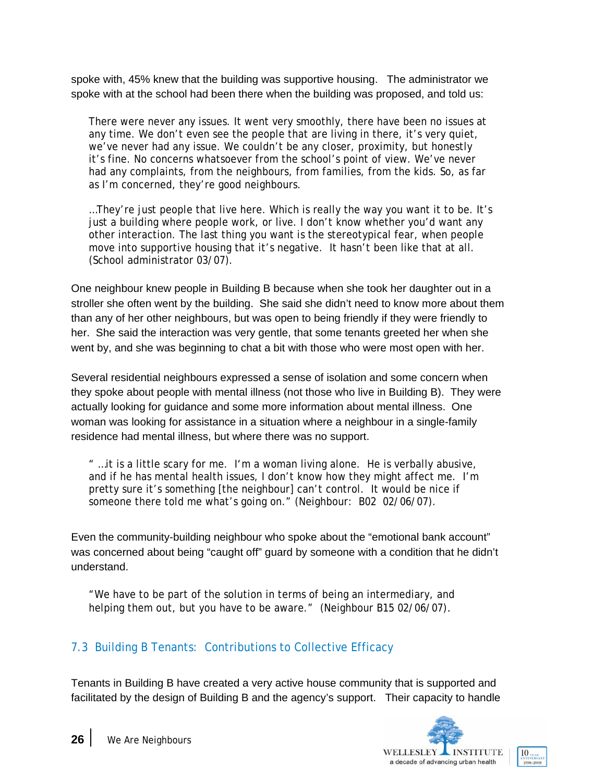spoke with, 45% knew that the building was supportive housing. The administrator we spoke with at the school had been there when the building was proposed, and told us:

There were never any issues. It went very smoothly, there have been no issues at any time. We don't even see the people that are living in there, it's very quiet, we've never had any issue. We couldn't be any closer, proximity, but honestly it's fine. No concerns whatsoever from the school's point of view. We've never had any complaints, from the neighbours, from families, from the kids. So, as far as I'm concerned, they're good neighbours.

…They're just people that live here. Which is really the way you want it to be. It's just a building where people work, or live. I don't know whether you'd want any other interaction. The last thing you want is the stereotypical fear, when people move into supportive housing that it's negative. It hasn't been like that at all. (School administrator 03/07).

One neighbour knew people in Building B because when she took her daughter out in a stroller she often went by the building. She said she didn't need to know more about them than any of her other neighbours, but was open to being friendly if they were friendly to her. She said the interaction was very gentle, that some tenants greeted her when she went by, and she was beginning to chat a bit with those who were most open with her.

Several residential neighbours expressed a sense of isolation and some concern when they spoke about people with mental illness (not those who live in Building B). They were actually looking for guidance and some more information about mental illness. One woman was looking for assistance in a situation where a neighbour in a single-family residence had mental illness, but where there was no support.

" …it is a little scary for me. I'm a woman living alone. He is verbally abusive, and if he has mental health issues, I don't know how they might affect me. I'm pretty sure it's something [the neighbour] can't control. It would be nice if someone there told me what's going on." (Neighbour: B02 02/06/07).

Even the community-building neighbour who spoke about the "emotional bank account" was concerned about being "caught off" guard by someone with a condition that he didn't understand.

"We have to be part of the solution in terms of being an intermediary, and helping them out, but you have to be aware." (Neighbour B15 02/06/07).

### 7.3 Building B Tenants: Contributions to Collective Efficacy

Tenants in Building B have created a very active house community that is supported and facilitated by the design of Building B and the agency's support. Their capacity to handle

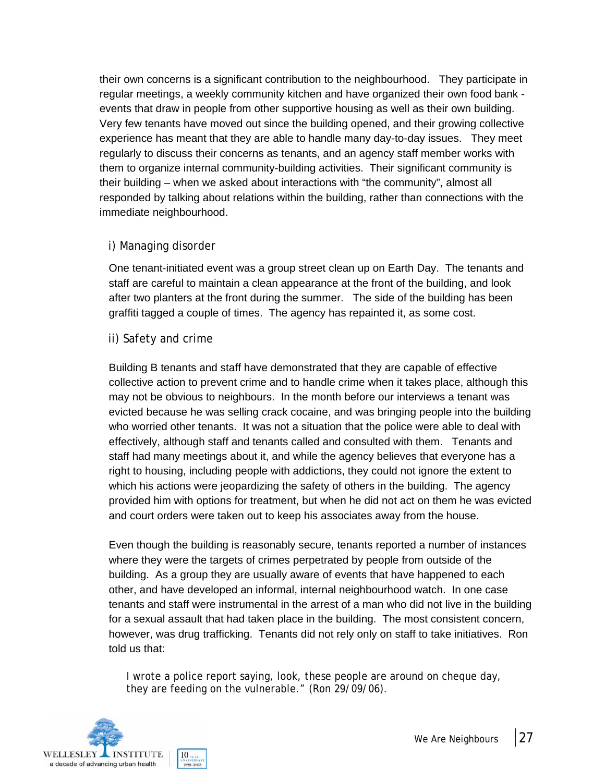their own concerns is a significant contribution to the neighbourhood. They participate in regular meetings, a weekly community kitchen and have organized their own food bank events that draw in people from other supportive housing as well as their own building. Very few tenants have moved out since the building opened, and their growing collective experience has meant that they are able to handle many day-to-day issues. They meet regularly to discuss their concerns as tenants, and an agency staff member works with them to organize internal community-building activities. Their significant community is their building – when we asked about interactions with "the community", almost all responded by talking about relations within the building, rather than connections with the immediate neighbourhood.

### i) Managing disorder

One tenant-initiated event was a group street clean up on Earth Day. The tenants and staff are careful to maintain a clean appearance at the front of the building, and look after two planters at the front during the summer. The side of the building has been graffiti tagged a couple of times. The agency has repainted it, as some cost.

#### ii) Safety and crime

Building B tenants and staff have demonstrated that they are capable of effective collective action to prevent crime and to handle crime when it takes place, although this may not be obvious to neighbours. In the month before our interviews a tenant was evicted because he was selling crack cocaine, and was bringing people into the building who worried other tenants. It was not a situation that the police were able to deal with effectively, although staff and tenants called and consulted with them. Tenants and staff had many meetings about it, and while the agency believes that everyone has a right to housing, including people with addictions, they could not ignore the extent to which his actions were jeopardizing the safety of others in the building. The agency provided him with options for treatment, but when he did not act on them he was evicted and court orders were taken out to keep his associates away from the house.

Even though the building is reasonably secure, tenants reported a number of instances where they were the targets of crimes perpetrated by people from outside of the building. As a group they are usually aware of events that have happened to each other, and have developed an informal, internal neighbourhood watch. In one case tenants and staff were instrumental in the arrest of a man who did not live in the building for a sexual assault that had taken place in the building. The most consistent concern, however, was drug trafficking. Tenants did not rely only on staff to take initiatives. Ron told us that:

I wrote a police report saying, look, these people are around on cheque day, they are feeding on the vulnerable." (Ron 29/09/06).

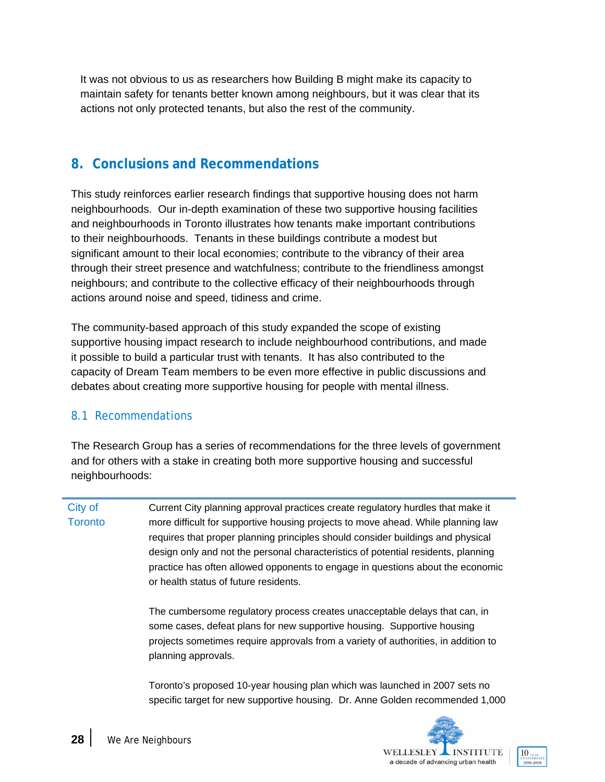It was not obvious to us as researchers how Building B might make its capacity to maintain safety for tenants better known among neighbours, but it was clear that its actions not only protected tenants, but also the rest of the community.

### **8. Conclusions and Recommendations**

This study reinforces earlier research findings that supportive housing does not harm neighbourhoods. Our in-depth examination of these two supportive housing facilities and neighbourhoods in Toronto illustrates how tenants make important contributions to their neighbourhoods. Tenants in these buildings contribute a modest but significant amount to their local economies; contribute to the vibrancy of their area through their street presence and watchfulness; contribute to the friendliness amongst neighbours; and contribute to the collective efficacy of their neighbourhoods through actions around noise and speed, tidiness and crime.

The community-based approach of this study expanded the scope of existing supportive housing impact research to include neighbourhood contributions, and made it possible to build a particular trust with tenants. It has also contributed to the capacity of Dream Team members to be even more effective in public discussions and debates about creating more supportive housing for people with mental illness.

### 8.1 Recommendations

The Research Group has a series of recommendations for the three levels of government and for others with a stake in creating both more supportive housing and successful neighbourhoods:

City of **Toronto** Current City planning approval practices create regulatory hurdles that make it more difficult for supportive housing projects to move ahead. While planning law requires that proper planning principles should consider buildings and physical design only and not the personal characteristics of potential residents, planning practice has often allowed opponents to engage in questions about the economic or health status of future residents.

> The cumbersome regulatory process creates unacceptable delays that can, in some cases, defeat plans for new supportive housing. Supportive housing projects sometimes require approvals from a variety of authorities, in addition to planning approvals.

Toronto's proposed 10-year housing plan which was launched in 2007 sets no specific target for new supportive housing. Dr. Anne Golden recommended 1,000

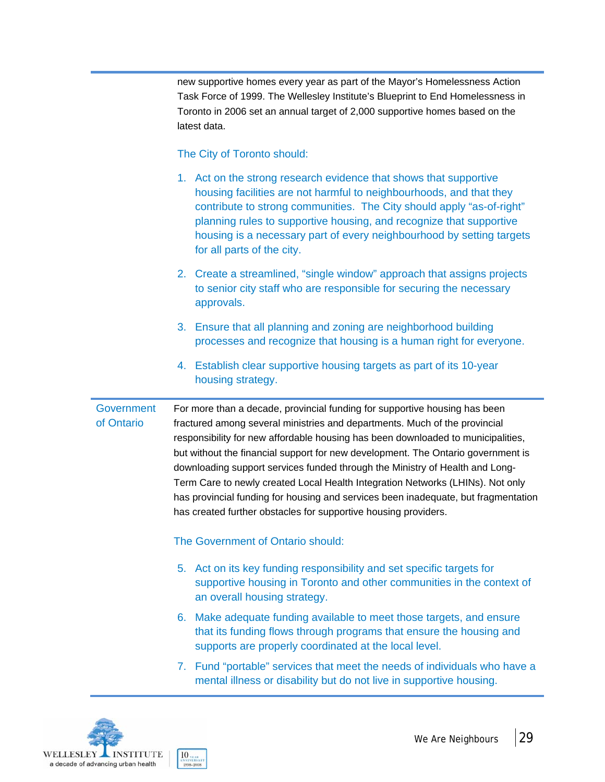new supportive homes every year as part of the Mayor's Homelessness Action Task Force of 1999. The Wellesley Institute's Blueprint to End Homelessness in Toronto in 2006 set an annual target of 2,000 supportive homes based on the latest data.

#### The City of Toronto should:

- 1. Act on the strong research evidence that shows that supportive housing facilities are not harmful to neighbourhoods, and that they contribute to strong communities. The City should apply "as-of-right" planning rules to supportive housing, and recognize that supportive housing is a necessary part of every neighbourhood by setting targets for all parts of the city.
- 2. Create a streamlined, "single window" approach that assigns projects to senior city staff who are responsible for securing the necessary approvals.
- 3. Ensure that all planning and zoning are neighborhood building processes and recognize that housing is a human right for everyone.
- 4. Establish clear supportive housing targets as part of its 10-year housing strategy.

#### **Government** of Ontario For more than a decade, provincial funding for supportive housing has been fractured among several ministries and departments. Much of the provincial responsibility for new affordable housing has been downloaded to municipalities, but without the financial support for new development. The Ontario government is downloading support services funded through the Ministry of Health and Long-Term Care to newly created Local Health Integration Networks (LHINs). Not only

has created further obstacles for supportive housing providers.

# The Government of Ontario should:

5. Act on its key funding responsibility and set specific targets for supportive housing in Toronto and other communities in the context of an overall housing strategy.

has provincial funding for housing and services been inadequate, but fragmentation

- 6. Make adequate funding available to meet those targets, and ensure that its funding flows through programs that ensure the housing and supports are properly coordinated at the local level.
- 7. Fund "portable" services that meet the needs of individuals who have a mental illness or disability but do not live in supportive housing.

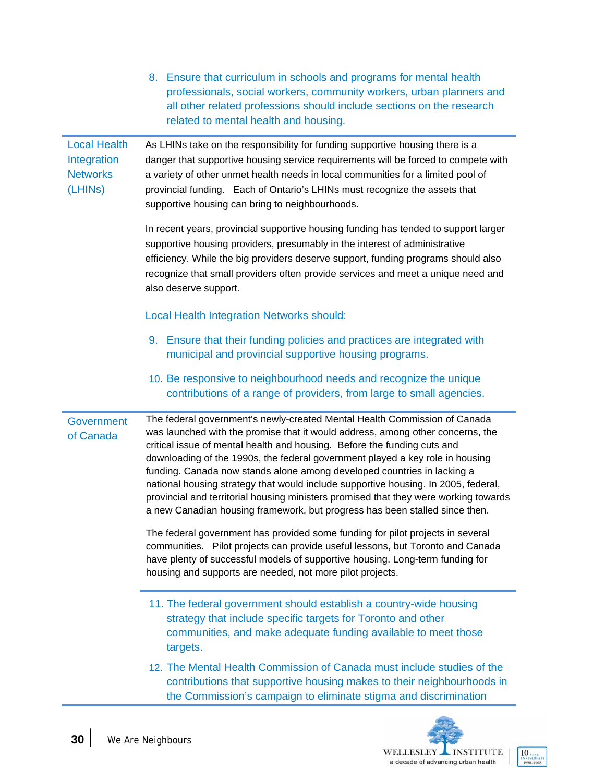|                                                                               | professionals, social workers, community workers, urban planners and<br>all other related professions should include sections on the research<br>related to mental health and housing.                                                                                                                                                                                                                                                                                                                                                                                                                                                                                                                                                                                                                                               |
|-------------------------------------------------------------------------------|--------------------------------------------------------------------------------------------------------------------------------------------------------------------------------------------------------------------------------------------------------------------------------------------------------------------------------------------------------------------------------------------------------------------------------------------------------------------------------------------------------------------------------------------------------------------------------------------------------------------------------------------------------------------------------------------------------------------------------------------------------------------------------------------------------------------------------------|
| <b>Local Health</b><br>Integration<br><b>Networks</b><br>(LHIN <sub>S</sub> ) | As LHINs take on the responsibility for funding supportive housing there is a<br>danger that supportive housing service requirements will be forced to compete with<br>a variety of other unmet health needs in local communities for a limited pool of<br>provincial funding. Each of Ontario's LHINs must recognize the assets that<br>supportive housing can bring to neighbourhoods.                                                                                                                                                                                                                                                                                                                                                                                                                                             |
|                                                                               | In recent years, provincial supportive housing funding has tended to support larger<br>supportive housing providers, presumably in the interest of administrative<br>efficiency. While the big providers deserve support, funding programs should also<br>recognize that small providers often provide services and meet a unique need and<br>also deserve support.                                                                                                                                                                                                                                                                                                                                                                                                                                                                  |
|                                                                               | <b>Local Health Integration Networks should:</b>                                                                                                                                                                                                                                                                                                                                                                                                                                                                                                                                                                                                                                                                                                                                                                                     |
|                                                                               | 9. Ensure that their funding policies and practices are integrated with<br>municipal and provincial supportive housing programs.                                                                                                                                                                                                                                                                                                                                                                                                                                                                                                                                                                                                                                                                                                     |
|                                                                               | 10. Be responsive to neighbourhood needs and recognize the unique<br>contributions of a range of providers, from large to small agencies.                                                                                                                                                                                                                                                                                                                                                                                                                                                                                                                                                                                                                                                                                            |
| <b>Government</b><br>of Canada                                                | The federal government's newly-created Mental Health Commission of Canada<br>was launched with the promise that it would address, among other concerns, the<br>critical issue of mental health and housing. Before the funding cuts and<br>downloading of the 1990s, the federal government played a key role in housing<br>funding. Canada now stands alone among developed countries in lacking a<br>national housing strategy that would include supportive housing. In 2005, federal,<br>provincial and territorial housing ministers promised that they were working towards<br>a new Canadian housing framework, but progress has been stalled since then.<br>The federal government has provided some funding for pilot projects in several<br>communities. Pilot projects can provide useful lessons, but Toronto and Canada |
|                                                                               | have plenty of successful models of supportive housing. Long-term funding for<br>housing and supports are needed, not more pilot projects.                                                                                                                                                                                                                                                                                                                                                                                                                                                                                                                                                                                                                                                                                           |
|                                                                               | 11. The federal government should establish a country-wide housing<br>strategy that include specific targets for Toronto and other<br>communities, and make adequate funding available to meet those<br>targets.                                                                                                                                                                                                                                                                                                                                                                                                                                                                                                                                                                                                                     |
|                                                                               | 12. The Mental Health Commission of Canada must include studies of the<br>contributions that supportive housing makes to their neighbourhoods in<br>the Commission's campaign to eliminate stigma and discrimination                                                                                                                                                                                                                                                                                                                                                                                                                                                                                                                                                                                                                 |

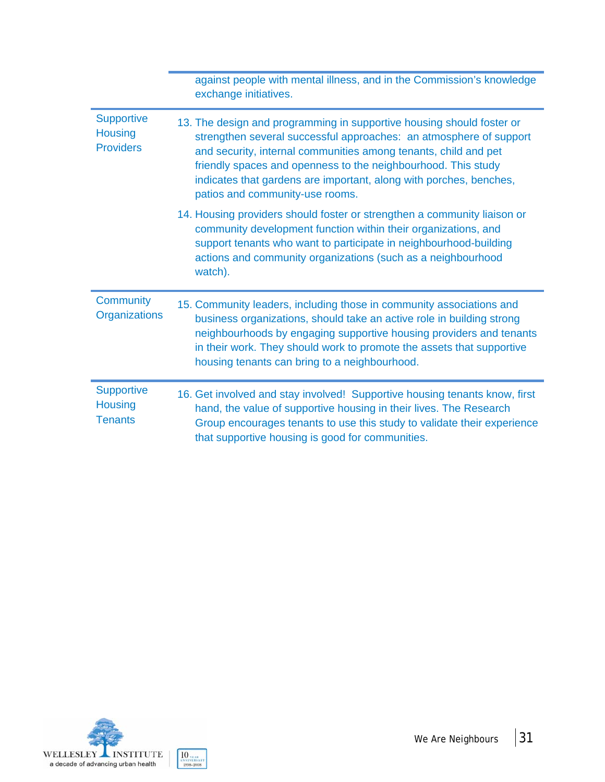|                                                         | against people with mental illness, and in the Commission's knowledge<br>exchange initiatives.                                                                                                                                                                                                                                                                                           |
|---------------------------------------------------------|------------------------------------------------------------------------------------------------------------------------------------------------------------------------------------------------------------------------------------------------------------------------------------------------------------------------------------------------------------------------------------------|
| <b>Supportive</b><br><b>Housing</b><br><b>Providers</b> | 13. The design and programming in supportive housing should foster or<br>strengthen several successful approaches: an atmosphere of support<br>and security, internal communities among tenants, child and pet<br>friendly spaces and openness to the neighbourhood. This study<br>indicates that gardens are important, along with porches, benches,<br>patios and community-use rooms. |
|                                                         | 14. Housing providers should foster or strengthen a community liaison or<br>community development function within their organizations, and<br>support tenants who want to participate in neighbourhood-building<br>actions and community organizations (such as a neighbourhood<br>watch).                                                                                               |
| Community<br>Organizations                              | 15. Community leaders, including those in community associations and<br>business organizations, should take an active role in building strong<br>neighbourhoods by engaging supportive housing providers and tenants<br>in their work. They should work to promote the assets that supportive<br>housing tenants can bring to a neighbourhood.                                           |
| <b>Supportive</b><br><b>Housing</b><br><b>Tenants</b>   | 16. Get involved and stay involved! Supportive housing tenants know, first<br>hand, the value of supportive housing in their lives. The Research<br>Group encourages tenants to use this study to validate their experience<br>that supportive housing is good for communities.                                                                                                          |

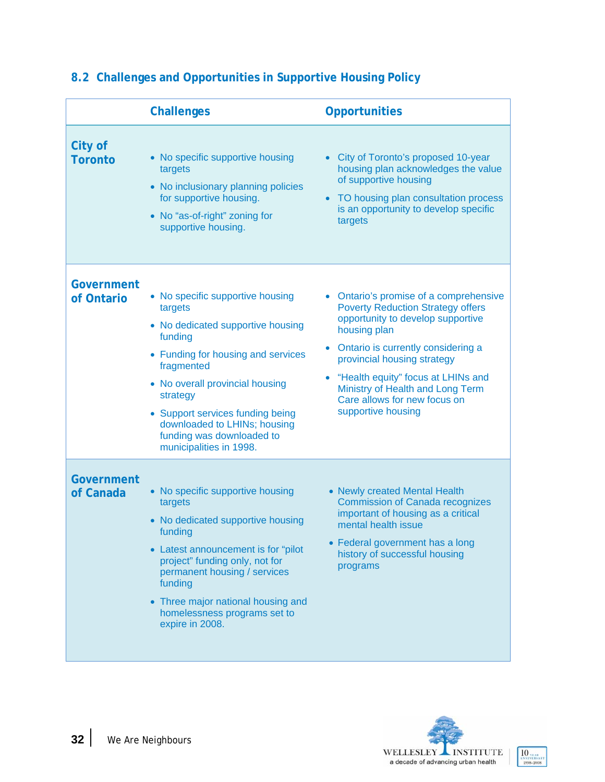|                           | <b>Challenges</b>                                                                                                                                                                                                                                                                                                          | <b>Opportunities</b>                                                                                                                                                                                                                                                                                                                         |
|---------------------------|----------------------------------------------------------------------------------------------------------------------------------------------------------------------------------------------------------------------------------------------------------------------------------------------------------------------------|----------------------------------------------------------------------------------------------------------------------------------------------------------------------------------------------------------------------------------------------------------------------------------------------------------------------------------------------|
| City of<br><b>Toronto</b> | • No specific supportive housing<br>targets<br>• No inclusionary planning policies<br>for supportive housing.<br>• No "as-of-right" zoning for<br>supportive housing.                                                                                                                                                      | City of Toronto's proposed 10-year<br>housing plan acknowledges the value<br>of supportive housing<br>TO housing plan consultation process<br>$\bullet$<br>is an opportunity to develop specific<br>targets                                                                                                                                  |
| Government<br>of Ontario  | • No specific supportive housing<br>targets<br>• No dedicated supportive housing<br>funding<br>• Funding for housing and services<br>fragmented<br>• No overall provincial housing<br>strategy<br>• Support services funding being<br>downloaded to LHINs; housing<br>funding was downloaded to<br>municipalities in 1998. | • Ontario's promise of a comprehensive<br><b>Poverty Reduction Strategy offers</b><br>opportunity to develop supportive<br>housing plan<br>Ontario is currently considering a<br>provincial housing strategy<br>"Health equity" focus at LHINs and<br>Ministry of Health and Long Term<br>Care allows for new focus on<br>supportive housing |
| Government<br>of Canada   | • No specific supportive housing<br>targets<br>• No dedicated supportive housing<br>funding<br>• Latest announcement is for "pilot"<br>project" funding only, not for<br>permanent housing / services<br>funding<br>• Three major national housing and<br>homelessness programs set to<br>expire in 2008.                  | • Newly created Mental Health<br><b>Commission of Canada recognizes</b><br>important of housing as a critical<br>mental health issue<br>• Federal government has a long<br>history of successful housing<br>programs                                                                                                                         |

### **8.2 Challenges and Opportunities in Supportive Housing Policy**

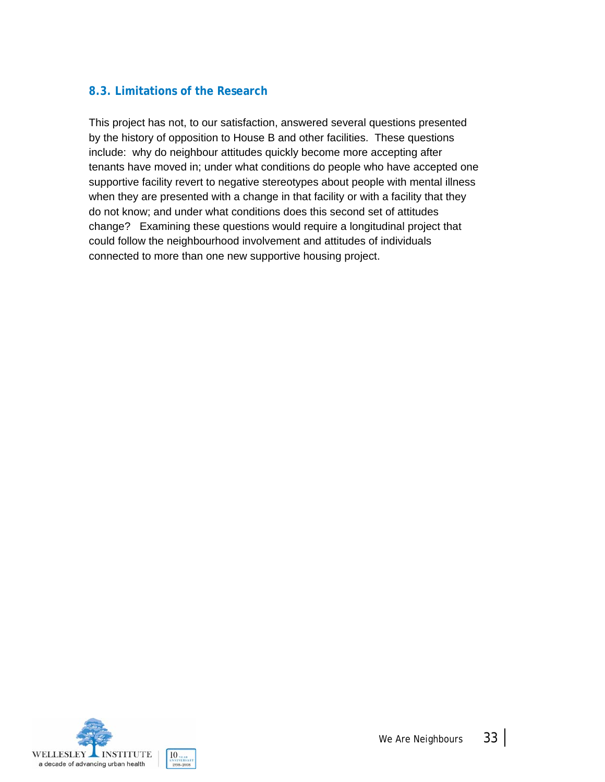### **8.3. Limitations of the Research**

This project has not, to our satisfaction, answered several questions presented by the history of opposition to House B and other facilities. These questions include: why do neighbour attitudes quickly become more accepting after tenants have moved in; under what conditions do people who have accepted one supportive facility revert to negative stereotypes about people with mental illness when they are presented with a change in that facility or with a facility that they do not know; and under what conditions does this second set of attitudes change? Examining these questions would require a longitudinal project that could follow the neighbourhood involvement and attitudes of individuals connected to more than one new supportive housing project.

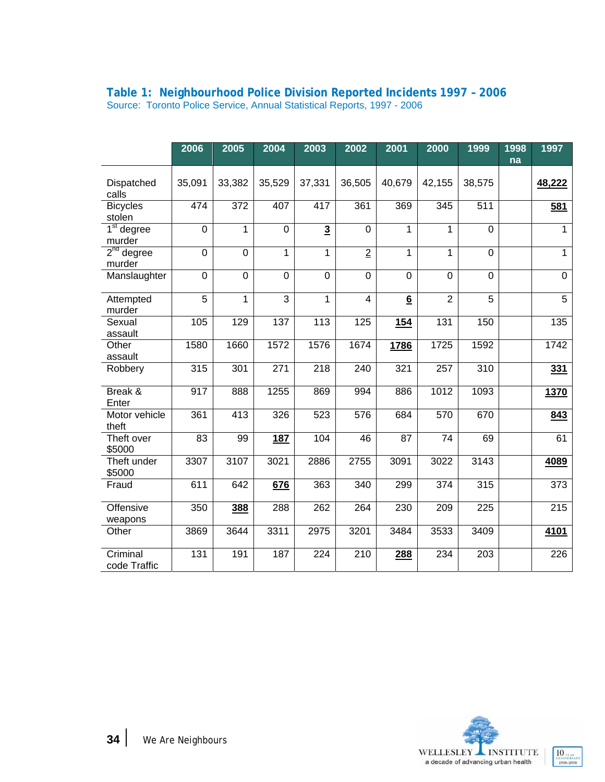|                           | 2006             | 2005             | 2004           | 2003                    | 2002             | 2001        | 2000             | 1999             | 1998 | 1997             |
|---------------------------|------------------|------------------|----------------|-------------------------|------------------|-------------|------------------|------------------|------|------------------|
|                           |                  |                  |                |                         |                  |             |                  |                  | na   |                  |
| Dispatched<br>calls       | 35,091           | 33,382           | 35,529         | 37,331                  | 36,505           | 40,679      | 42,155           | 38,575           |      | 48,222           |
| <b>Bicycles</b><br>stolen | 474              | 372              | 407            | 417                     | 361              | 369         | 345              | 511              |      | 581              |
| $1st$ degree<br>murder    | $\pmb{0}$        | 1                | $\mathbf 0$    | $\overline{\mathbf{3}}$ | $\mathsf 0$      | 1           | 1                | $\mathbf 0$      |      | 1                |
| $2nd$ degree<br>murder    | $\mathbf 0$      | $\mathbf 0$      | 1              | 1                       | $\overline{2}$   | 1           | 1                | 0                |      | 1                |
| Manslaughter              | $\pmb{0}$        | $\overline{0}$   | $\mathbf 0$    | $\mathbf 0$             | $\overline{0}$   | $\mathbf 0$ | $\mathbf 0$      | $\mathbf 0$      |      | $\mathbf 0$      |
| Attempted<br>murder       | 5                | 1                | $\overline{3}$ | 1                       | 4                | 6           | $\overline{2}$   | 5                |      | 5                |
| Sexual<br>assault         | 105              | 129              | 137            | 113                     | 125              | <b>154</b>  | $\overline{131}$ | 150              |      | 135              |
| Other<br>assault          | 1580             | 1660             | 1572           | 1576                    | 1674             | 1786        | 1725             | 1592             |      | 1742             |
| Robbery                   | 315              | 301              | 271            | 218                     | 240              | 321         | 257              | 310              |      | 331              |
| Break &<br>Enter          | $\overline{917}$ | 888              | 1255           | 869                     | 994              | 886         | 1012             | 1093             |      | 1370             |
| Motor vehicle<br>theft    | 361              | $\overline{413}$ | 326            | $\overline{523}$        | $\overline{576}$ | 684         | 570              | 670              |      | 843              |
| Theft over<br>\$5000      | 83               | 99               | <b>187</b>     | 104                     | 46               | 87          | 74               | 69               |      | 61               |
| Theft under<br>\$5000     | 3307             | 3107             | 3021           | 2886                    | 2755             | 3091        | 3022             | 3143             |      | 4089             |
| Fraud                     | 611              | 642              | 676            | 363                     | 340              | 299         | 374              | 315              |      | 373              |
| Offensive<br>weapons      | 350              | 388              | 288            | $\overline{262}$        | 264              | 230         | 209              | $\overline{225}$ |      | $\overline{215}$ |
| Other                     | 3869             | 3644             | 3311           | 2975                    | 3201             | 3484        | 3533             | 3409             |      | 4101             |
| Criminal<br>code Traffic  | 131              | 191              | 187            | 224                     | 210              | 288         | 234              | 203              |      | 226              |

#### **Table 1: Neighbourhood Police Division Reported Incidents 1997 – 2006**  Source: Toronto Police Service, Annual Statistical Reports, 1997 - 2006

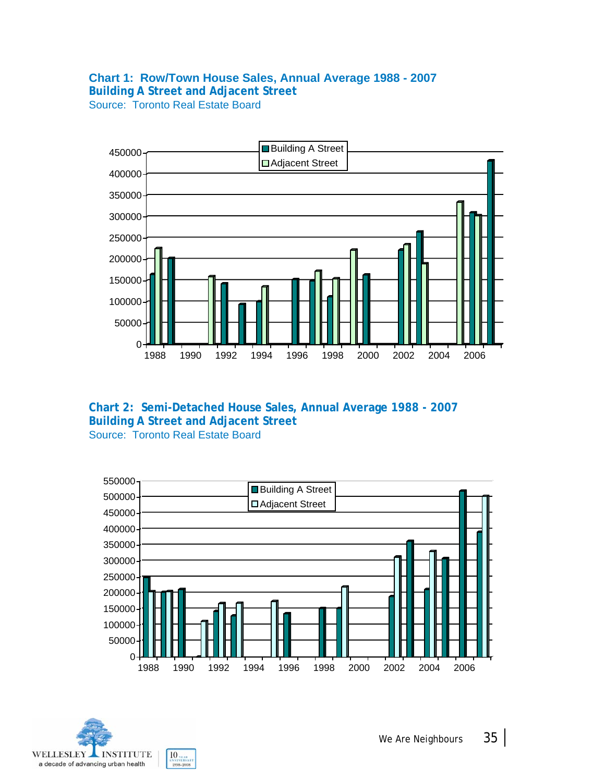# **Chart 1: Row/Town House Sales, Annual Average 1988 - 2007**

**Building A Street and Adjacent Street**  Source: Toronto Real Estate Board







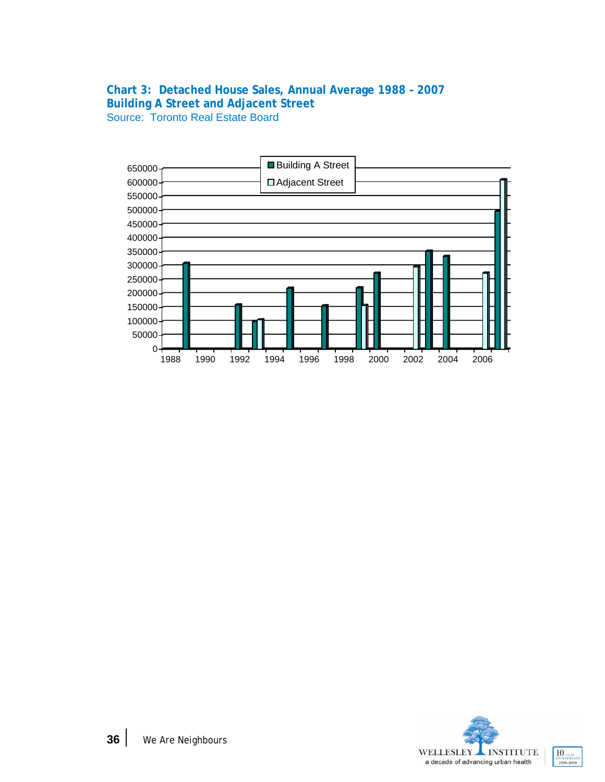### **Chart 3: Detached House Sales, Annual Average 1988 – 2007 Building A Street and Adjacent Street**  Source: Toronto Real Estate Board



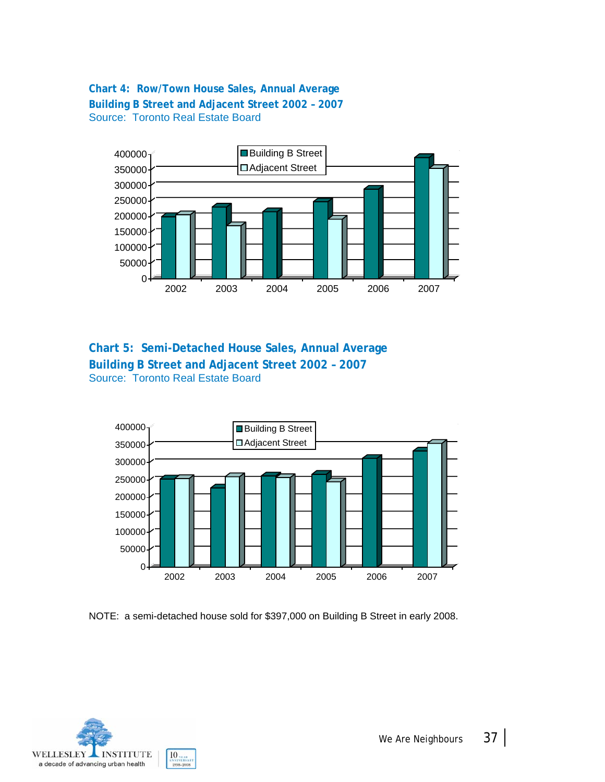### **Chart 4: Row/Town House Sales, Annual Average Building B Street and Adjacent Street 2002 – 2007** Source: Toronto Real Estate Board



### **Chart 5: Semi-Detached House Sales, Annual Average Building B Street and Adjacent Street 2002 – 2007** Source: Toronto Real Estate Board



NOTE: a semi-detached house sold for \$397,000 on Building B Street in early 2008.

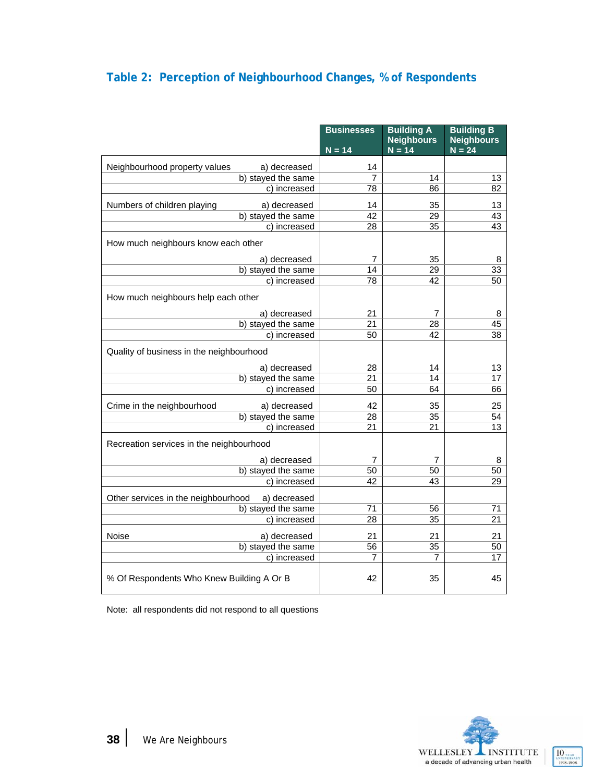### **Table 2: Perception of Neighbourhood Changes, % of Respondents**

|                                                     | <b>Businesses</b> | <b>Building A</b><br><b>Neighbours</b><br>$N = 14$ | <b>Building B</b><br><b>Neighbours</b><br>$N = 24$ |
|-----------------------------------------------------|-------------------|----------------------------------------------------|----------------------------------------------------|
|                                                     | $N = 14$          |                                                    |                                                    |
| Neighbourhood property values<br>a) decreased       | 14                |                                                    |                                                    |
| b) stayed the same                                  | 7                 | 14                                                 | 13                                                 |
| c) increased                                        | 78                | 86                                                 | 82                                                 |
| Numbers of children playing<br>a) decreased         | 14                | 35                                                 | 13                                                 |
| b) stayed the same                                  | 42                | $\overline{29}$                                    | 43                                                 |
| c) increased                                        | 28                | $\overline{35}$                                    | $\overline{43}$                                    |
| How much neighbours know each other                 |                   |                                                    |                                                    |
| a) decreased                                        | 7                 | 35                                                 | 8                                                  |
| b) stayed the same                                  | 14                | 29                                                 | $\overline{33}$                                    |
| c) increased                                        | 78                | 42                                                 | 50                                                 |
| How much neighbours help each other                 |                   |                                                    |                                                    |
| a) decreased                                        | 21                | 7                                                  | 8                                                  |
| b) stayed the same                                  | 21                | 28                                                 | 45                                                 |
| c) increased                                        | 50                | 42                                                 | 38                                                 |
| Quality of business in the neighbourhood            |                   |                                                    |                                                    |
| a) decreased                                        | 28                | 14                                                 | 13                                                 |
| b) stayed the same                                  | 21                | 14                                                 | 17                                                 |
| c) increased                                        | 50                | 64                                                 | 66                                                 |
| Crime in the neighbourhood<br>a) decreased          | 42                | 35                                                 | 25                                                 |
| b) stayed the same                                  | 28                | $\overline{35}$                                    | 54                                                 |
| c) increased                                        | 21                | 21                                                 | 13                                                 |
| Recreation services in the neighbourhood            |                   |                                                    |                                                    |
| a) decreased                                        | 7                 | 7                                                  | 8                                                  |
| b) stayed the same                                  | 50                | 50                                                 | 50                                                 |
| c) increased                                        | 42                | 43                                                 | 29                                                 |
| Other services in the neighbourhood<br>a) decreased |                   |                                                    |                                                    |
| b) stayed the same                                  | 71                | 56                                                 | 71                                                 |
| c) increased                                        | 28                | 35                                                 | 21                                                 |
| Noise<br>a) decreased                               | 21                | 21                                                 | 21                                                 |
| b) stayed the same                                  | 56                | 35                                                 | 50                                                 |
| c) increased                                        | 7                 | 7                                                  | 17                                                 |
| % Of Respondents Who Knew Building A Or B           | 42                | 35                                                 | 45                                                 |

Note: all respondents did not respond to all questions

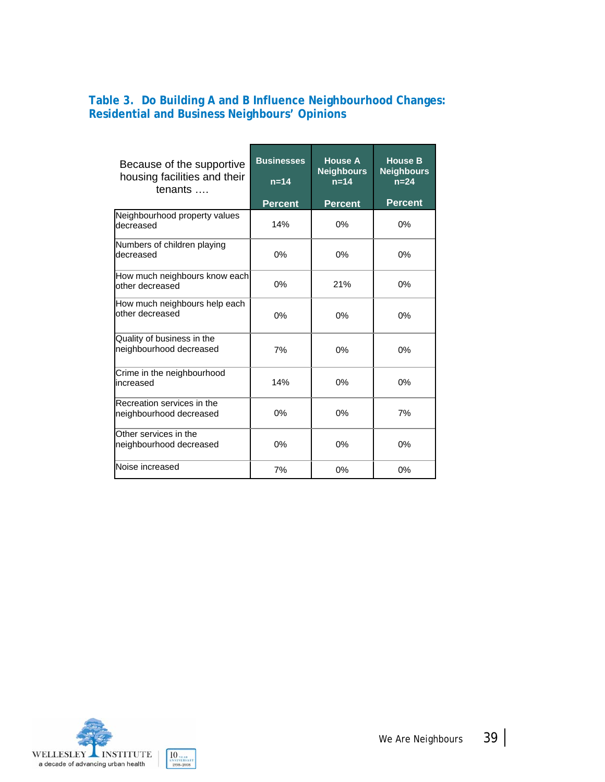### **Table 3. Do Building A and B Influence Neighbourhood Changes: Residential and Business Neighbours' Opinions**

| Because of the supportive<br>housing facilities and their<br>tenants | <b>Businesses</b><br>$n=14$<br><b>Percent</b> | <b>House A</b><br><b>Neighbours</b><br>$n=14$<br><b>Percent</b> | <b>House B</b><br><b>Neighbours</b><br>$n=24$<br><b>Percent</b> |
|----------------------------------------------------------------------|-----------------------------------------------|-----------------------------------------------------------------|-----------------------------------------------------------------|
| Neighbourhood property values<br>decreased                           | 14%                                           | 0%                                                              | 0%                                                              |
| Numbers of children playing<br>decreased                             | 0%                                            | 0%                                                              | 0%                                                              |
| How much neighbours know each<br>other decreased                     | $0\%$                                         | 21%                                                             | 0%                                                              |
| How much neighbours help each<br>other decreased                     | 0%                                            | 0%                                                              | 0%                                                              |
| Quality of business in the<br>neighbourhood decreased                | 7%                                            | 0%                                                              | 0%                                                              |
| Crime in the neighbourhood<br>increased                              | 14%                                           | 0%                                                              | 0%                                                              |
| Recreation services in the<br>neighbourhood decreased                | 0%                                            | 0%                                                              | 7%                                                              |
| Other services in the<br>neighbourhood decreased                     | 0%                                            | 0%                                                              | 0%                                                              |
| Noise increased                                                      | 7%                                            | 0%                                                              | 0%                                                              |

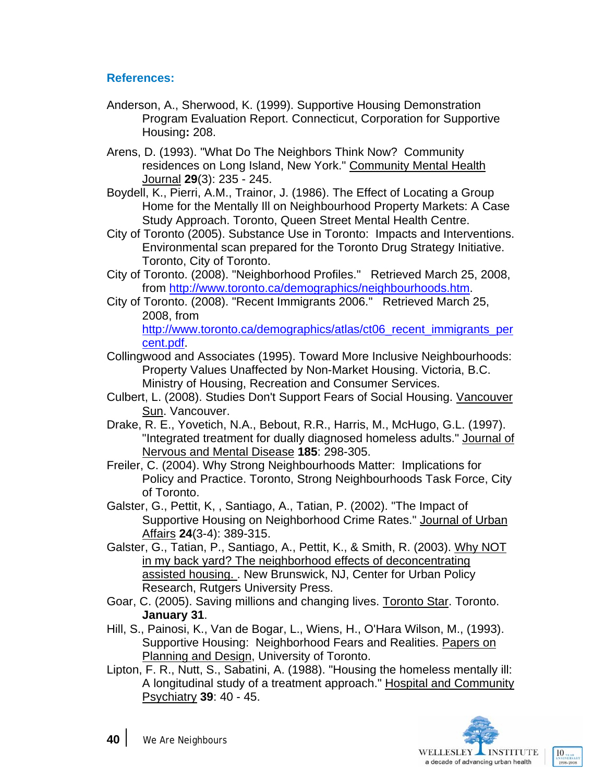### **References:**

- Anderson, A., Sherwood, K. (1999). Supportive Housing Demonstration Program Evaluation Report. Connecticut, Corporation for Supportive Housing**:** 208.
- Arens, D. (1993). "What Do The Neighbors Think Now? Community residences on Long Island, New York." Community Mental Health Journal **29**(3): 235 - 245.
- Boydell, K., Pierri, A.M., Trainor, J. (1986). The Effect of Locating a Group Home for the Mentally Ill on Neighbourhood Property Markets: A Case Study Approach. Toronto, Queen Street Mental Health Centre.
- City of Toronto (2005). Substance Use in Toronto: Impacts and Interventions. Environmental scan prepared for the Toronto Drug Strategy Initiative. Toronto, City of Toronto.
- City of Toronto. (2008). "Neighborhood Profiles." Retrieved March 25, 2008, from http://www.toronto.ca/demographics/neighbourhoods.htm.
- City of Toronto. (2008). "Recent Immigrants 2006." Retrieved March 25, 2008, from http://www.toronto.ca/demographics/atlas/ct06 recent\_immigrants\_per cent.pdf.
- Collingwood and Associates (1995). Toward More Inclusive Neighbourhoods: Property Values Unaffected by Non-Market Housing. Victoria, B.C. Ministry of Housing, Recreation and Consumer Services.
- Culbert, L. (2008). Studies Don't Support Fears of Social Housing. Vancouver Sun. Vancouver.
- Drake, R. E., Yovetich, N.A., Bebout, R.R., Harris, M., McHugo, G.L. (1997). "Integrated treatment for dually diagnosed homeless adults." Journal of Nervous and Mental Disease **185**: 298-305.
- Freiler, C. (2004). Why Strong Neighbourhoods Matter: Implications for Policy and Practice. Toronto, Strong Neighbourhoods Task Force, City of Toronto.
- Galster, G., Pettit, K, , Santiago, A., Tatian, P. (2002). "The Impact of Supportive Housing on Neighborhood Crime Rates." Journal of Urban Affairs **24**(3-4): 389-315.
- Galster, G., Tatian, P., Santiago, A., Pettit, K., & Smith, R. (2003). Why NOT in my back yard? The neighborhood effects of deconcentrating assisted housing. . New Brunswick, NJ, Center for Urban Policy Research, Rutgers University Press.
- Goar, C. (2005). Saving millions and changing lives. Toronto Star. Toronto. **January 31**.
- Hill, S., Painosi, K., Van de Bogar, L., Wiens, H., O'Hara Wilson, M., (1993). Supportive Housing: Neighborhood Fears and Realities. Papers on Planning and Design, University of Toronto.
- Lipton, F. R., Nutt, S., Sabatini, A. (1988). "Housing the homeless mentally ill: A longitudinal study of a treatment approach." Hospital and Community Psychiatry **39**: 40 - 45.



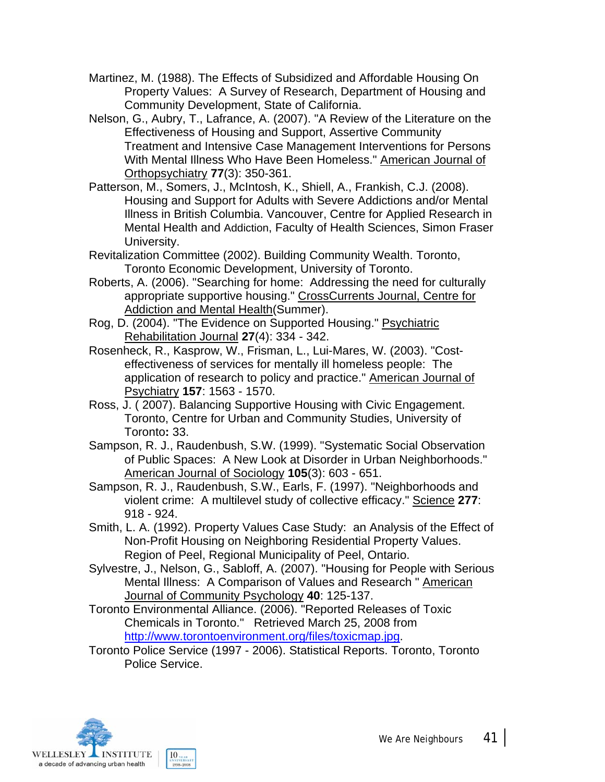- Martinez, M. (1988). The Effects of Subsidized and Affordable Housing On Property Values: A Survey of Research, Department of Housing and Community Development, State of California.
- Nelson, G., Aubry, T., Lafrance, A. (2007). "A Review of the Literature on the Effectiveness of Housing and Support, Assertive Community Treatment and Intensive Case Management Interventions for Persons With Mental Illness Who Have Been Homeless." American Journal of Orthopsychiatry **77**(3): 350-361.
- Patterson, M., Somers, J., McIntosh, K., Shiell, A., Frankish, C.J. (2008). Housing and Support for Adults with Severe Addictions and/or Mental Illness in British Columbia. Vancouver, Centre for Applied Research in Mental Health and Addiction, Faculty of Health Sciences, Simon Fraser University.
- Revitalization Committee (2002). Building Community Wealth. Toronto, Toronto Economic Development, University of Toronto.
- Roberts, A. (2006). "Searching for home: Addressing the need for culturally appropriate supportive housing." CrossCurrents Journal, Centre for Addiction and Mental Health(Summer).
- Rog, D. (2004). "The Evidence on Supported Housing." Psychiatric Rehabilitation Journal **27**(4): 334 - 342.
- Rosenheck, R., Kasprow, W., Frisman, L., Lui-Mares, W. (2003). "Costeffectiveness of services for mentally ill homeless people: The application of research to policy and practice." American Journal of Psychiatry **157**: 1563 - 1570.
- Ross, J. ( 2007). Balancing Supportive Housing with Civic Engagement. Toronto, Centre for Urban and Community Studies, University of Toronto**:** 33.
- Sampson, R. J., Raudenbush, S.W. (1999). "Systematic Social Observation of Public Spaces: A New Look at Disorder in Urban Neighborhoods." American Journal of Sociology **105**(3): 603 - 651.
- Sampson, R. J., Raudenbush, S.W., Earls, F. (1997). "Neighborhoods and violent crime: A multilevel study of collective efficacy." Science **277**: 918 - 924.
- Smith, L. A. (1992). Property Values Case Study: an Analysis of the Effect of Non-Profit Housing on Neighboring Residential Property Values. Region of Peel, Regional Municipality of Peel, Ontario.
- Sylvestre, J., Nelson, G., Sabloff, A. (2007). "Housing for People with Serious Mental Illness: A Comparison of Values and Research " American Journal of Community Psychology **40**: 125-137.
- Toronto Environmental Alliance. (2006). "Reported Releases of Toxic Chemicals in Toronto." Retrieved March 25, 2008 from http://www.torontoenvironment.org/files/toxicmap.jpg.
- Toronto Police Service (1997 2006). Statistical Reports. Toronto, Toronto Police Service.

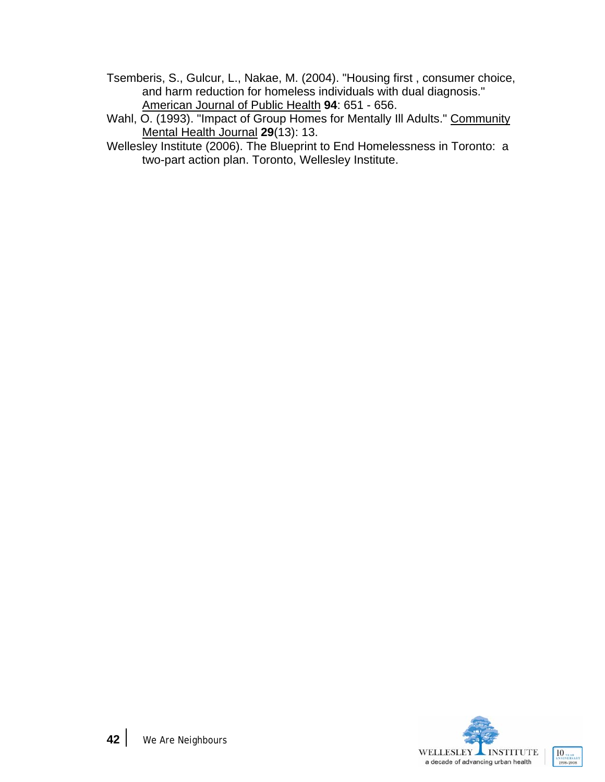- Tsemberis, S., Gulcur, L., Nakae, M. (2004). "Housing first , consumer choice, and harm reduction for homeless individuals with dual diagnosis." American Journal of Public Health **94**: 651 - 656.
- Wahl, O. (1993). "Impact of Group Homes for Mentally III Adults." Community Mental Health Journal **29**(13): 13.
- Wellesley Institute (2006). The Blueprint to End Homelessness in Toronto: a two-part action plan. Toronto, Wellesley Institute.